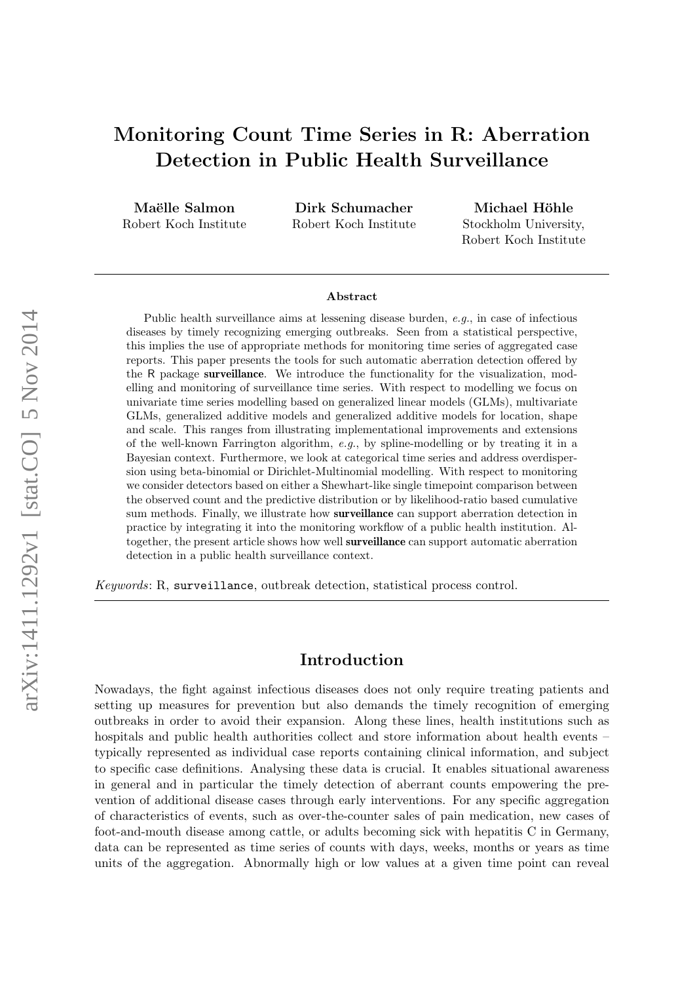# Monitoring Count Time Series in R: Aberration Detection in Public Health Surveillance

Maëlle Salmon Robert Koch Institute

Dirk Schumacher Robert Koch Institute

Michael Höhle Stockholm University, Robert Koch Institute

#### Abstract

Public health surveillance aims at lessening disease burden, e.g., in case of infectious diseases by timely recognizing emerging outbreaks. Seen from a statistical perspective, this implies the use of appropriate methods for monitoring time series of aggregated case reports. This paper presents the tools for such automatic aberration detection offered by the R package surveillance. We introduce the functionality for the visualization, modelling and monitoring of surveillance time series. With respect to modelling we focus on univariate time series modelling based on generalized linear models (GLMs), multivariate GLMs, generalized additive models and generalized additive models for location, shape and scale. This ranges from illustrating implementational improvements and extensions of the well-known Farrington algorithm,  $e.q.,$  by spline-modelling or by treating it in a Bayesian context. Furthermore, we look at categorical time series and address overdispersion using beta-binomial or Dirichlet-Multinomial modelling. With respect to monitoring we consider detectors based on either a Shewhart-like single timepoint comparison between the observed count and the predictive distribution or by likelihood-ratio based cumulative sum methods. Finally, we illustrate how surveillance can support aberration detection in practice by integrating it into the monitoring workflow of a public health institution. Altogether, the present article shows how well surveillance can support automatic aberration detection in a public health surveillance context.

Keywords: R, surveillance, outbreak detection, statistical process control.

# Introduction

Nowadays, the fight against infectious diseases does not only require treating patients and setting up measures for prevention but also demands the timely recognition of emerging outbreaks in order to avoid their expansion. Along these lines, health institutions such as hospitals and public health authorities collect and store information about health events – typically represented as individual case reports containing clinical information, and subject to specific case definitions. Analysing these data is crucial. It enables situational awareness in general and in particular the timely detection of aberrant counts empowering the prevention of additional disease cases through early interventions. For any specific aggregation of characteristics of events, such as over-the-counter sales of pain medication, new cases of foot-and-mouth disease among cattle, or adults becoming sick with hepatitis C in Germany, data can be represented as time series of counts with days, weeks, months or years as time units of the aggregation. Abnormally high or low values at a given time point can reveal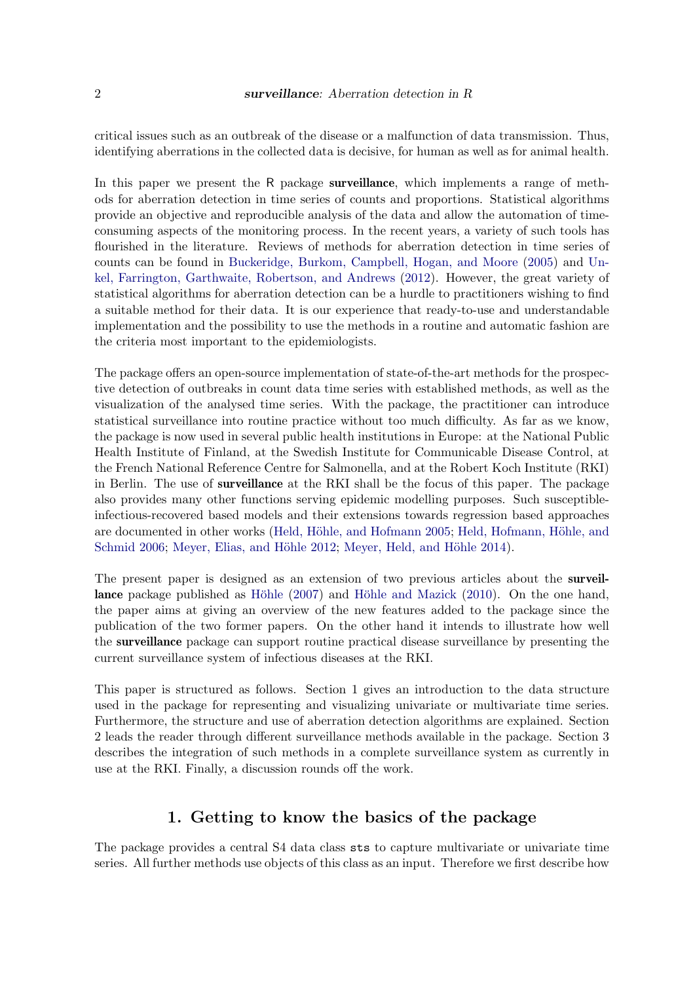critical issues such as an outbreak of the disease or a malfunction of data transmission. Thus, identifying aberrations in the collected data is decisive, for human as well as for animal health.

In this paper we present the R package **surveillance**, which implements a range of methods for aberration detection in time series of counts and proportions. Statistical algorithms provide an objective and reproducible analysis of the data and allow the automation of timeconsuming aspects of the monitoring process. In the recent years, a variety of such tools has flourished in the literature. Reviews of methods for aberration detection in time series of counts can be found in [Buckeridge, Burkom, Campbell, Hogan, and Moore](#page-30-0) [\(2005\)](#page-30-0) and [Un](#page-33-0)[kel, Farrington, Garthwaite, Robertson, and Andrews](#page-33-0) [\(2012\)](#page-33-0). However, the great variety of statistical algorithms for aberration detection can be a hurdle to practitioners wishing to find a suitable method for their data. It is our experience that ready-to-use and understandable implementation and the possibility to use the methods in a routine and automatic fashion are the criteria most important to the epidemiologists.

The package offers an open-source implementation of state-of-the-art methods for the prospective detection of outbreaks in count data time series with established methods, as well as the visualization of the analysed time series. With the package, the practitioner can introduce statistical surveillance into routine practice without too much difficulty. As far as we know, the package is now used in several public health institutions in Europe: at the National Public Health Institute of Finland, at the Swedish Institute for Communicable Disease Control, at the French National Reference Centre for Salmonella, and at the Robert Koch Institute (RKI) in Berlin. The use of surveillance at the RKI shall be the focus of this paper. The package also provides many other functions serving epidemic modelling purposes. Such susceptibleinfectious-recovered based models and their extensions towards regression based approaches are documented in other works (Held, Höhle, and Hofmann [2005;](#page-31-0) Held, Hofmann, Höhle, and [Schmid](#page-31-1) [2006;](#page-31-1) Meyer, Elias, and Höhle [2012;](#page-32-0) Meyer, Held, and Höhle [2014\)](#page-32-1).

The present paper is designed as an extension of two previous articles about the surveillance package published as Höhle  $(2007)$  and Höhle and Mazick  $(2010)$ . On the one hand, the paper aims at giving an overview of the new features added to the package since the publication of the two former papers. On the other hand it intends to illustrate how well the surveillance package can support routine practical disease surveillance by presenting the current surveillance system of infectious diseases at the RKI.

This paper is structured as follows. Section 1 gives an introduction to the data structure used in the package for representing and visualizing univariate or multivariate time series. Furthermore, the structure and use of aberration detection algorithms are explained. Section 2 leads the reader through different surveillance methods available in the package. Section 3 describes the integration of such methods in a complete surveillance system as currently in use at the RKI. Finally, a discussion rounds off the work.

# 1. Getting to know the basics of the package

The package provides a central S4 data class sts to capture multivariate or univariate time series. All further methods use objects of this class as an input. Therefore we first describe how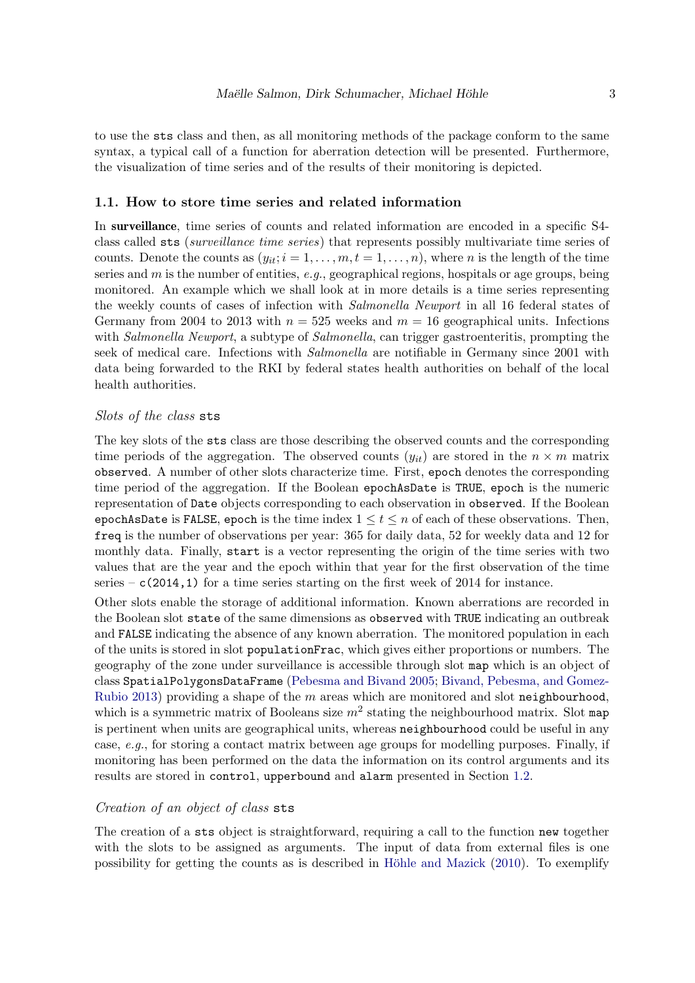to use the sts class and then, as all monitoring methods of the package conform to the same syntax, a typical call of a function for aberration detection will be presented. Furthermore, the visualization of time series and of the results of their monitoring is depicted.

#### 1.1. How to store time series and related information

In surveillance, time series of counts and related information are encoded in a specific S4 class called sts (surveillance time series) that represents possibly multivariate time series of counts. Denote the counts as  $(y_{it}; i = 1, \ldots, m, t = 1, \ldots, n)$ , where *n* is the length of the time series and  $m$  is the number of entities,  $e.g.,$  geographical regions, hospitals or age groups, being monitored. An example which we shall look at in more details is a time series representing the weekly counts of cases of infection with Salmonella Newport in all 16 federal states of Germany from 2004 to 2013 with  $n = 525$  weeks and  $m = 16$  geographical units. Infections with Salmonella Newport, a subtype of Salmonella, can trigger gastroenteritis, prompting the seek of medical care. Infections with Salmonella are notifiable in Germany since 2001 with data being forwarded to the RKI by federal states health authorities on behalf of the local health authorities.

#### Slots of the class sts

The key slots of the sts class are those describing the observed counts and the corresponding time periods of the aggregation. The observed counts  $(y_{it})$  are stored in the  $n \times m$  matrix observed. A number of other slots characterize time. First, epoch denotes the corresponding time period of the aggregation. If the Boolean epochAsDate is TRUE, epoch is the numeric representation of Date objects corresponding to each observation in observed. If the Boolean epochAsDate is FALSE, epoch is the time index  $1 \le t \le n$  of each of these observations. Then, freq is the number of observations per year: 365 for daily data, 52 for weekly data and 12 for monthly data. Finally, start is a vector representing the origin of the time series with two values that are the year and the epoch within that year for the first observation of the time series –  $c(2014,1)$  for a time series starting on the first week of 2014 for instance.

Other slots enable the storage of additional information. Known aberrations are recorded in the Boolean slot state of the same dimensions as observed with TRUE indicating an outbreak and FALSE indicating the absence of any known aberration. The monitored population in each of the units is stored in slot populationFrac, which gives either proportions or numbers. The geography of the zone under surveillance is accessible through slot map which is an object of class SpatialPolygonsDataFrame [\(Pebesma and Bivand](#page-32-2) [2005;](#page-32-2) [Bivand, Pebesma, and Gomez-](#page-30-1)[Rubio](#page-30-1) [2013\)](#page-30-1) providing a shape of the  $m$  areas which are monitored and slot neighbourhood, which is a symmetric matrix of Booleans size  $m^2$  stating the neighbourhood matrix. Slot map is pertinent when units are geographical units, whereas neighbourhood could be useful in any case, e.g., for storing a contact matrix between age groups for modelling purposes. Finally, if monitoring has been performed on the data the information on its control arguments and its results are stored in control, upperbound and alarm presented in Section [1.2.](#page-4-0)

#### Creation of an object of class sts

The creation of a sts object is straightforward, requiring a call to the function new together with the slots to be assigned as arguments. The input of data from external files is one possibility for getting the counts as is described in Höhle and Mazick  $(2010)$ . To exemplify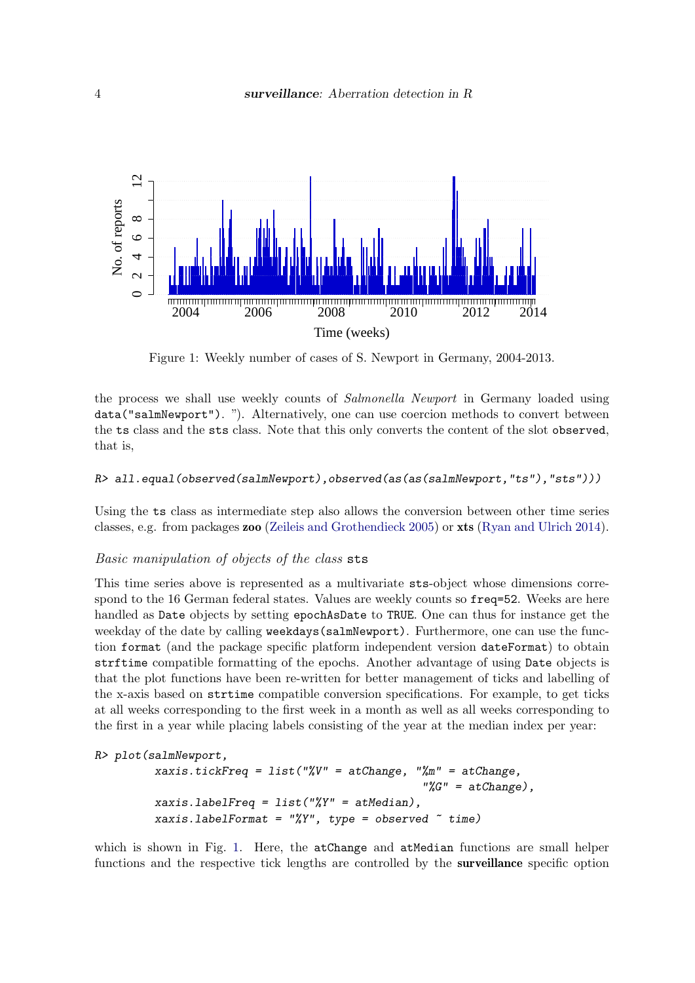<span id="page-3-0"></span>

Figure 1: Weekly number of cases of S. Newport in Germany, 2004-2013.

the process we shall use weekly counts of Salmonella Newport in Germany loaded using data("salmNewport"). "). Alternatively, one can use coercion methods to convert between the ts class and the sts class. Note that this only converts the content of the slot observed, that is,

### R> all.equal(observed(salmNewport),observed(as(as(salmNewport,"ts"),"sts")))

Using the ts class as intermediate step also allows the conversion between other time series classes, e.g. from packages zoo [\(Zeileis and Grothendieck](#page-33-1) [2005\)](#page-33-1) or xts [\(Ryan and Ulrich](#page-33-2) [2014\)](#page-33-2).

### Basic manipulation of objects of the class sts

This time series above is represented as a multivariate sts-object whose dimensions correspond to the 16 German federal states. Values are weekly counts so freq=52. Weeks are here handled as Date objects by setting epochAsDate to TRUE. One can thus for instance get the weekday of the date by calling weekdays(salmNewport). Furthermore, one can use the function format (and the package specific platform independent version dateFormat) to obtain strftime compatible formatting of the epochs. Another advantage of using Date objects is that the plot functions have been re-written for better management of ticks and labelling of the x-axis based on strtime compatible conversion specifications. For example, to get ticks at all weeks corresponding to the first week in a month as well as all weeks corresponding to the first in a year while placing labels consisting of the year at the median index per year:

#### R> plot(salmNewport,

```
xaxis.tickFreq = list("%V'' = atChange, "%m" = atChange,
                                             \sqrt[n]{G''} = atChange),
xaxis.labelFreq = list("%Y'' = atMedian),
xaxis.labelFormat = "%Y", type = observed \tilde{ } time)
```
which is shown in Fig. [1.](#page-3-0) Here, the atChange and atMedian functions are small helper functions and the respective tick lengths are controlled by the surveillance specific option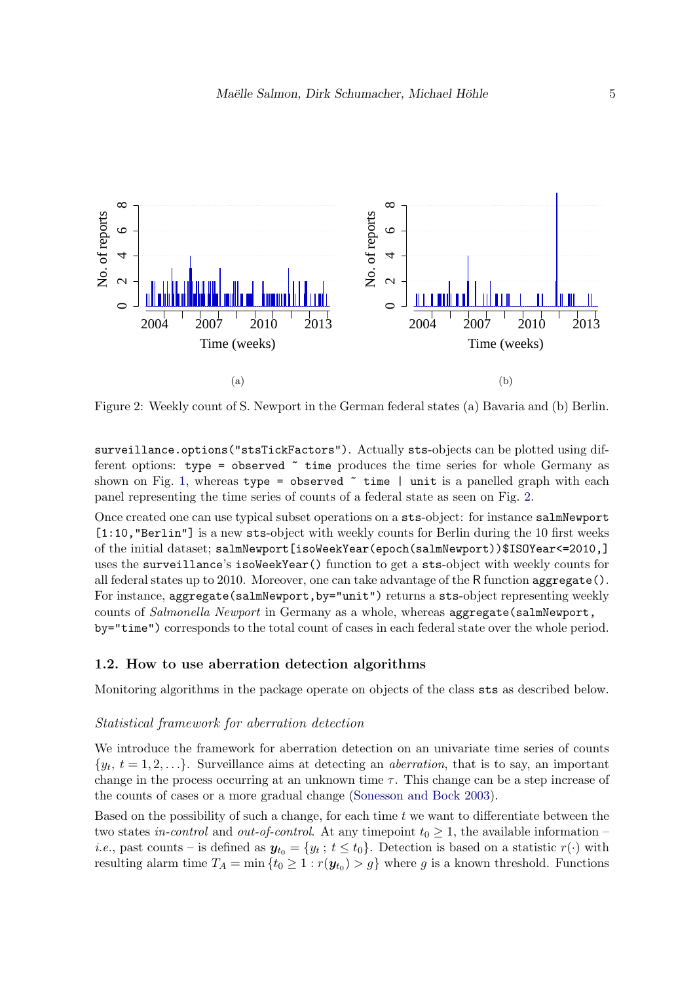<span id="page-4-1"></span>

Figure 2: Weekly count of S. Newport in the German federal states (a) Bavaria and (b) Berlin.

surveillance.options("stsTickFactors"). Actually sts-objects can be plotted using different options: type = observed  $\tilde{\phantom{a}}$  time produces the time series for whole Germany as shown on Fig. [1,](#page-3-0) whereas type = observed  $\tilde{ }$  time | unit is a panelled graph with each panel representing the time series of counts of a federal state as seen on Fig. [2.](#page-4-1)

Once created one can use typical subset operations on a sts-object: for instance salmNewport [1:10, "Berlin"] is a new sts-object with weekly counts for Berlin during the 10 first weeks of the initial dataset; salmNewport[isoWeekYear(epoch(salmNewport))\$ISOYear<=2010,] uses the surveillance's isoWeekYear() function to get a sts-object with weekly counts for all federal states up to 2010. Moreover, one can take advantage of the R function aggregate(). For instance, aggregate(salmNewport, by="unit") returns a sts-object representing weekly counts of *Salmonella Newport* in Germany as a whole, whereas aggregate(salmNewport, by="time") corresponds to the total count of cases in each federal state over the whole period.

### <span id="page-4-0"></span>1.2. How to use aberration detection algorithms

Monitoring algorithms in the package operate on objects of the class sts as described below.

#### Statistical framework for aberration detection

We introduce the framework for aberration detection on an univariate time series of counts  $\{y_t, t = 1, 2, \ldots\}$ . Surveillance aims at detecting an *aberration*, that is to say, an important change in the process occurring at an unknown time  $\tau$ . This change can be a step increase of the counts of cases or a more gradual change [\(Sonesson and Bock](#page-33-3) [2003\)](#page-33-3).

Based on the possibility of such a change, for each time  $t$  we want to differentiate between the two states in-control and out-of-control. At any timepoint  $t_0 \geq 1$ , the available information – *i.e.*, past counts – is defined as  $y_{t_0} = \{y_t : t \le t_0\}$ . Detection is based on a statistic  $r(\cdot)$  with resulting alarm time  $T_A = \min \{ t_0 \geq 1 : r(\mathbf{y}_{t_0}) > g \}$  where g is a known threshold. Functions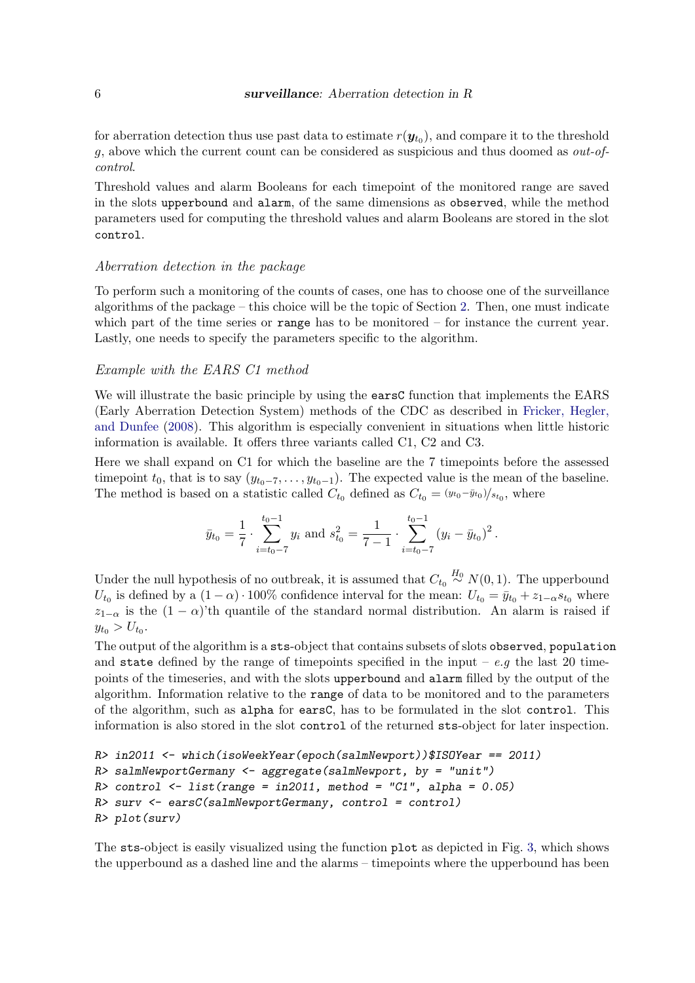for aberration detection thus use past data to estimate  $r(\boldsymbol{y}_{t_0})$ , and compare it to the threshold g, above which the current count can be considered as suspicious and thus doomed as  $out-of$ control.

Threshold values and alarm Booleans for each timepoint of the monitored range are saved in the slots upperbound and alarm, of the same dimensions as observed, while the method parameters used for computing the threshold values and alarm Booleans are stored in the slot control.

#### Aberration detection in the package

To perform such a monitoring of the counts of cases, one has to choose one of the surveillance algorithms of the package – this choice will be the topic of Section [2.](#page-6-0) Then, one must indicate which part of the time series or range has to be monitored  $-$  for instance the current year. Lastly, one needs to specify the parameters specific to the algorithm.

#### Example with the EARS C1 method

We will illustrate the basic principle by using the earsC function that implements the EARS (Early Aberration Detection System) methods of the CDC as described in [Fricker, Hegler,](#page-31-4) [and Dunfee](#page-31-4) [\(2008\)](#page-31-4). This algorithm is especially convenient in situations when little historic information is available. It offers three variants called C1, C2 and C3.

Here we shall expand on C1 for which the baseline are the 7 timepoints before the assessed timepoint  $t_0$ , that is to say  $(y_{t_0-7}, \ldots, y_{t_0-1})$ . The expected value is the mean of the baseline. The method is based on a statistic called  $C_{t_0}$  defined as  $C_{t_0} = \frac{(y_{t_0} - \bar{y}_{t_0})}{s_{t_0}}$ , where

$$
\bar{y}_{t_0} = \frac{1}{7} \cdot \sum_{i=t_0-7}^{t_0-1} y_i
$$
 and  $s_{t_0}^2 = \frac{1}{7-1} \cdot \sum_{i=t_0-7}^{t_0-1} (y_i - \bar{y}_{t_0})^2$ .

Under the null hypothesis of no outbreak, it is assumed that  $C_{t_0} \stackrel{H_0}{\sim} N(0, 1)$ . The upperbound  $U_{t_0}$  is defined by a  $(1 - \alpha) \cdot 100\%$  confidence interval for the mean:  $U_{t_0} = \bar{y}_{t_0} + z_{1-\alpha} s_{t_0}$  where  $z_{1-\alpha}$  is the  $(1-\alpha)$ 'th quantile of the standard normal distribution. An alarm is raised if  $y_{t_0} > U_{t_0}.$ 

The output of the algorithm is a sts-object that contains subsets of slots observed, population and state defined by the range of timepoints specified in the input –  $e,q$  the last 20 timepoints of the timeseries, and with the slots upperbound and alarm filled by the output of the algorithm. Information relative to the range of data to be monitored and to the parameters of the algorithm, such as alpha for earsC, has to be formulated in the slot control. This information is also stored in the slot control of the returned sts-object for later inspection.

```
R> in2011 <- which(isoWeekYear(epoch(salmNewport))$ISOYear == 2011)
R> salmNewportGermany <- aggregate(salmNewport, by = "unit")
R> control <- list(range = in2011, method = "C1", alpha = 0.05)
R> surv \leq earsC(\text{salmNewportGermany}, \text{control} = \text{control})R> plot(surv)
```
The sts-object is easily visualized using the function plot as depicted in Fig. [3,](#page-6-1) which shows the upperbound as a dashed line and the alarms – timepoints where the upperbound has been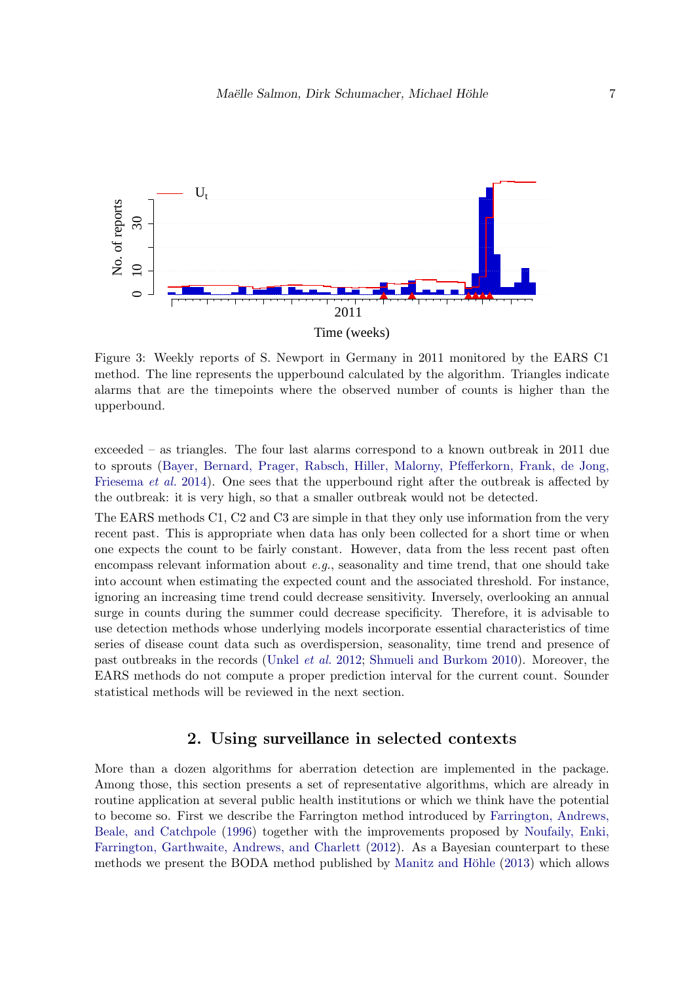<span id="page-6-1"></span>

Figure 3: Weekly reports of S. Newport in Germany in 2011 monitored by the EARS C1 method. The line represents the upperbound calculated by the algorithm. Triangles indicate alarms that are the timepoints where the observed number of counts is higher than the upperbound.

exceeded – as triangles. The four last alarms correspond to a known outbreak in 2011 due to sprouts [\(Bayer, Bernard, Prager, Rabsch, Hiller, Malorny, Pfefferkorn, Frank, de Jong,](#page-30-2) [Friesema](#page-30-2) *et al.* [2014\)](#page-30-2). One sees that the upperbound right after the outbreak is affected by the outbreak: it is very high, so that a smaller outbreak would not be detected.

The EARS methods C1, C2 and C3 are simple in that they only use information from the very recent past. This is appropriate when data has only been collected for a short time or when one expects the count to be fairly constant. However, data from the less recent past often encompass relevant information about  $e.g.,$  seasonality and time trend, that one should take into account when estimating the expected count and the associated threshold. For instance, ignoring an increasing time trend could decrease sensitivity. Inversely, overlooking an annual surge in counts during the summer could decrease specificity. Therefore, it is advisable to use detection methods whose underlying models incorporate essential characteristics of time series of disease count data such as overdispersion, seasonality, time trend and presence of past outbreaks in the records [\(Unkel](#page-33-0) et al. [2012;](#page-33-0) [Shmueli and Burkom](#page-33-4) [2010\)](#page-33-4). Moreover, the EARS methods do not compute a proper prediction interval for the current count. Sounder statistical methods will be reviewed in the next section.

# 2. Using surveillance in selected contexts

<span id="page-6-0"></span>More than a dozen algorithms for aberration detection are implemented in the package. Among those, this section presents a set of representative algorithms, which are already in routine application at several public health institutions or which we think have the potential to become so. First we describe the Farrington method introduced by [Farrington, Andrews,](#page-31-5) [Beale, and Catchpole](#page-31-5) [\(1996\)](#page-31-5) together with the improvements proposed by [Noufaily, Enki,](#page-32-3) [Farrington, Garthwaite, Andrews, and Charlett](#page-32-3) [\(2012\)](#page-32-3). As a Bayesian counterpart to these methods we present the BODA method published by Manitz and Höhle [\(2013\)](#page-32-4) which allows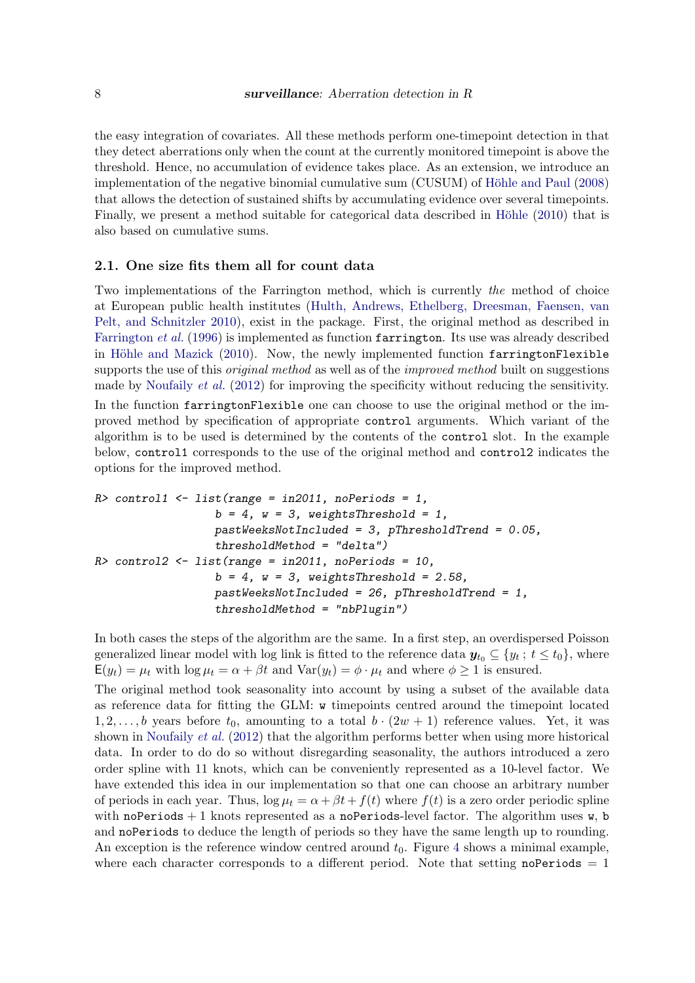the easy integration of covariates. All these methods perform one-timepoint detection in that they detect aberrations only when the count at the currently monitored timepoint is above the threshold. Hence, no accumulation of evidence takes place. As an extension, we introduce an implementation of the negative binomial cumulative sum (CUSUM) of Höhle and Paul [\(2008\)](#page-31-6) that allows the detection of sustained shifts by accumulating evidence over several timepoints. Finally, we present a method suitable for categorical data described in Höhle [\(2010\)](#page-31-7) that is also based on cumulative sums.

#### 2.1. One size fits them all for count data

Two implementations of the Farrington method, which is currently the method of choice at European public health institutes [\(Hulth, Andrews, Ethelberg, Dreesman, Faensen, van](#page-31-8) [Pelt, and Schnitzler](#page-31-8) [2010\)](#page-31-8), exist in the package. First, the original method as described in [Farrington](#page-31-5) et al. [\(1996\)](#page-31-5) is implemented as function farrington. Its use was already described in Höhle and Mazick  $(2010)$ . Now, the newly implemented function farringtonFlexible supports the use of this *original method* as well as of the *improved method* built on suggestions made by [Noufaily](#page-32-3) *et al.* [\(2012\)](#page-32-3) for improving the specificity without reducing the sensitivity. In the function farringtonFlexible one can choose to use the original method or the improved method by specification of appropriate control arguments. Which variant of the algorithm is to be used is determined by the contents of the control slot. In the example below, control1 corresponds to the use of the original method and control2 indicates the options for the improved method.

```
R> control1 <- list(range = in2011, noPeriods = 1,
                  b = 4, w = 3, weightsThreshold = 1,
                  pastWeeksNotIncluded = 3, pThresholdTrend = 0.05,
                  thresholdMethod = "delta")
R> control2 <- list(range = in2011, noPeriods = 10,
                  b = 4, w = 3, weightsThreshold = 2.58,
                  pastWeeksNotIncluded = 26, pThresholdTrend = 1,
                  thresholdMethod = "nbPlugin")
```
In both cases the steps of the algorithm are the same. In a first step, an overdispersed Poisson generalized linear model with log link is fitted to the reference data  $y_{t_0} \subseteq \{y_t : t \leq t_0\}$ , where  $E(y_t) = \mu_t$  with  $\log \mu_t = \alpha + \beta t$  and  $Var(y_t) = \phi \cdot \mu_t$  and where  $\phi \ge 1$  is ensured.

The original method took seasonality into account by using a subset of the available data as reference data for fitting the GLM: w timepoints centred around the timepoint located  $1, 2, \ldots, b$  years before  $t_0$ , amounting to a total  $b \cdot (2w + 1)$  reference values. Yet, it was shown in [Noufaily](#page-32-3) *et al.* [\(2012\)](#page-32-3) that the algorithm performs better when using more historical data. In order to do do so without disregarding seasonality, the authors introduced a zero order spline with 11 knots, which can be conveniently represented as a 10-level factor. We have extended this idea in our implementation so that one can choose an arbitrary number of periods in each year. Thus,  $\log \mu_t = \alpha + \beta t + f(t)$  where  $f(t)$  is a zero order periodic spline with noPeriods  $+1$  knots represented as a noPeriods-level factor. The algorithm uses w, b and noPeriods to deduce the length of periods so they have the same length up to rounding. An exception is the reference window centred around  $t_0$ . Figure [4](#page-8-0) shows a minimal example, where each character corresponds to a different period. Note that setting noPeriods  $= 1$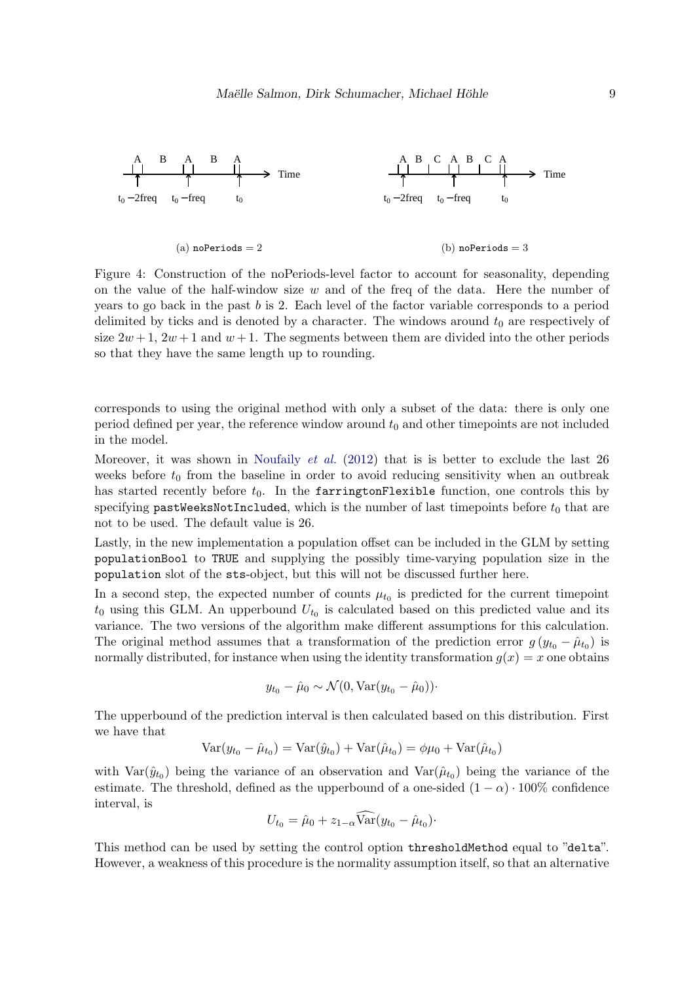<span id="page-8-0"></span>

Figure 4: Construction of the noPeriods-level factor to account for seasonality, depending on the value of the half-window size  $w$  and of the freq of the data. Here the number of years to go back in the past b is 2. Each level of the factor variable corresponds to a period delimited by ticks and is denoted by a character. The windows around  $t_0$  are respectively of size  $2w+1$ ,  $2w+1$  and  $w+1$ . The segments between them are divided into the other periods so that they have the same length up to rounding.

corresponds to using the original method with only a subset of the data: there is only one period defined per year, the reference window around  $t_0$  and other timepoints are not included in the model.

Moreover, it was shown in [Noufaily](#page-32-3) *et al.* [\(2012\)](#page-32-3) that is is better to exclude the last 26 weeks before  $t_0$  from the baseline in order to avoid reducing sensitivity when an outbreak has started recently before  $t_0$ . In the farringtonFlexible function, one controls this by specifying pastWeeksNotIncluded, which is the number of last timepoints before  $t_0$  that are not to be used. The default value is 26.

Lastly, in the new implementation a population offset can be included in the GLM by setting populationBool to TRUE and supplying the possibly time-varying population size in the population slot of the sts-object, but this will not be discussed further here.

In a second step, the expected number of counts  $\mu_{t_0}$  is predicted for the current timepoint  $t_0$  using this GLM. An upperbound  $U_{t_0}$  is calculated based on this predicted value and its variance. The two versions of the algorithm make different assumptions for this calculation. The original method assumes that a transformation of the prediction error  $g(y_{t_0} - \hat{\mu}_{t_0})$  is normally distributed, for instance when using the identity transformation  $g(x) = x$  one obtains

$$
y_{t_0} - \hat{\mu}_0 \sim \mathcal{N}(0, \text{Var}(y_{t_0} - \hat{\mu}_0))\cdot
$$

The upperbound of the prediction interval is then calculated based on this distribution. First we have that

$$
Var(y_{t_0} - \hat{\mu}_{t_0}) = Var(\hat{y}_{t_0}) + Var(\hat{\mu}_{t_0}) = \phi \mu_0 + Var(\hat{\mu}_{t_0})
$$

with  $Var(\hat{y}_{t_0})$  being the variance of an observation and  $Var(\hat{\mu}_{t_0})$  being the variance of the estimate. The threshold, defined as the upperbound of a one-sided  $(1 - \alpha) \cdot 100\%$  confidence interval, is

$$
U_{t_0} = \hat{\mu}_0 + z_{1-\alpha} \widehat{\text{Var}}(y_{t_0} - \hat{\mu}_{t_0}).
$$

This method can be used by setting the control option thresholdMethod equal to "delta". However, a weakness of this procedure is the normality assumption itself, so that an alternative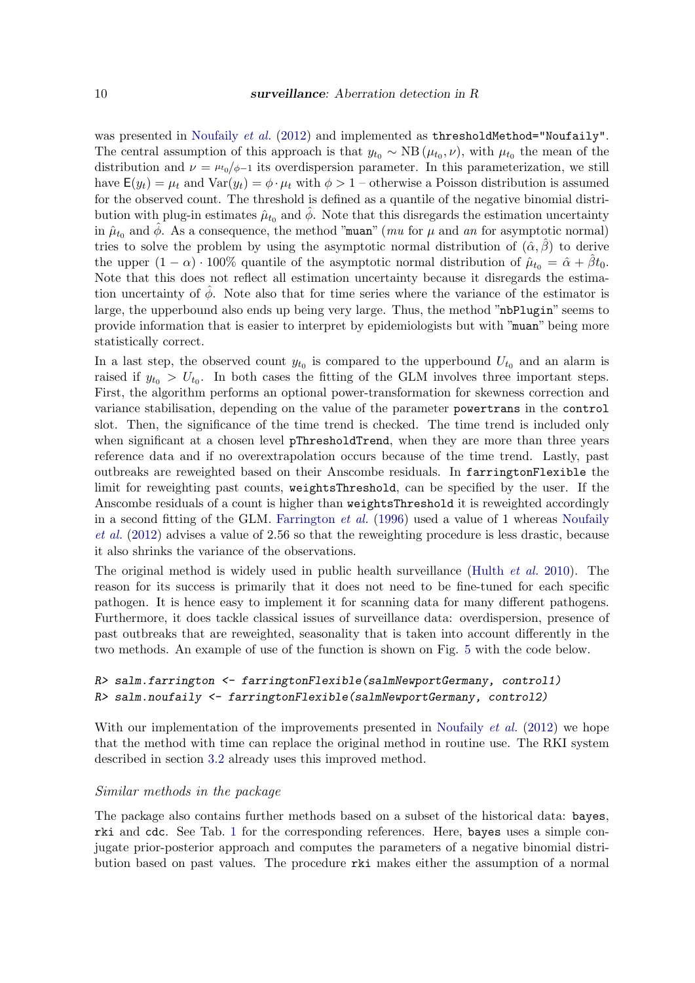was presented in [Noufaily](#page-32-3) *et al.* [\(2012\)](#page-32-3) and implemented as thresholdMethod="Noufaily". The central assumption of this approach is that  $y_{t_0} \sim NB(\mu_{t_0}, \nu)$ , with  $\mu_{t_0}$  the mean of the distribution and  $\nu = \mu_{0}/\phi - 1$  its overdispersion parameter. In this parameterization, we still have  $E(y_t) = \mu_t$  and  $Var(y_t) = \phi \cdot \mu_t$  with  $\phi > 1$  – otherwise a Poisson distribution is assumed for the observed count. The threshold is defined as a quantile of the negative binomial distribution with plug-in estimates  $\hat{\mu}_{t_0}$  and  $\hat{\phi}$ . Note that this disregards the estimation uncertainty in  $\hat{\mu}_{t_0}$  and  $\hat{\phi}$ . As a consequence, the method "muan" (mu for  $\mu$  and an for asymptotic normal) tries to solve the problem by using the asymptotic normal distribution of  $(\hat{\alpha}, \hat{\beta})$  to derive the upper  $(1 - \alpha) \cdot 100\%$  quantile of the asymptotic normal distribution of  $\hat{\mu}_{t_0} = \hat{\alpha} + \hat{\beta}t_0$ . Note that this does not reflect all estimation uncertainty because it disregards the estimation uncertainty of  $\hat{\phi}$ . Note also that for time series where the variance of the estimator is large, the upperbound also ends up being very large. Thus, the method "nbPlugin" seems to provide information that is easier to interpret by epidemiologists but with "muan" being more statistically correct.

In a last step, the observed count  $y_{t_0}$  is compared to the upperbound  $U_{t_0}$  and an alarm is raised if  $y_{t_0} > U_{t_0}$ . In both cases the fitting of the GLM involves three important steps. First, the algorithm performs an optional power-transformation for skewness correction and variance stabilisation, depending on the value of the parameter powertrans in the control slot. Then, the significance of the time trend is checked. The time trend is included only when significant at a chosen level pThresholdTrend, when they are more than three years reference data and if no overextrapolation occurs because of the time trend. Lastly, past outbreaks are reweighted based on their Anscombe residuals. In farringtonFlexible the limit for reweighting past counts, weightsThreshold, can be specified by the user. If the Anscombe residuals of a count is higher than weightsThreshold it is reweighted accordingly in a second fitting of the GLM. [Farrington](#page-31-5) et al. [\(1996\)](#page-31-5) used a value of 1 whereas [Noufaily](#page-32-3) [et al.](#page-32-3) [\(2012\)](#page-32-3) advises a value of 2.56 so that the reweighting procedure is less drastic, because it also shrinks the variance of the observations.

The original method is widely used in public health surveillance [\(Hulth](#page-31-8) et al. [2010\)](#page-31-8). The reason for its success is primarily that it does not need to be fine-tuned for each specific pathogen. It is hence easy to implement it for scanning data for many different pathogens. Furthermore, it does tackle classical issues of surveillance data: overdispersion, presence of past outbreaks that are reweighted, seasonality that is taken into account differently in the two methods. An example of use of the function is shown on Fig. [5](#page-10-0) with the code below.

### R> salm.farrington <- farringtonFlexible(salmNewportGermany, control1)  $R$ > salm.noufaily  $\leq$  farringtonFlexible(salmNewportGermany, control2)

With our implementation of the improvements presented in [Noufaily](#page-32-3) *et al.* [\(2012\)](#page-32-3) we hope that the method with time can replace the original method in routine use. The RKI system described in section [3.2](#page-28-0) already uses this improved method.

### Similar methods in the package

The package also contains further methods based on a subset of the historical data: bayes, rki and cdc. See Tab. [1](#page-26-0) for the corresponding references. Here, bayes uses a simple conjugate prior-posterior approach and computes the parameters of a negative binomial distribution based on past values. The procedure rki makes either the assumption of a normal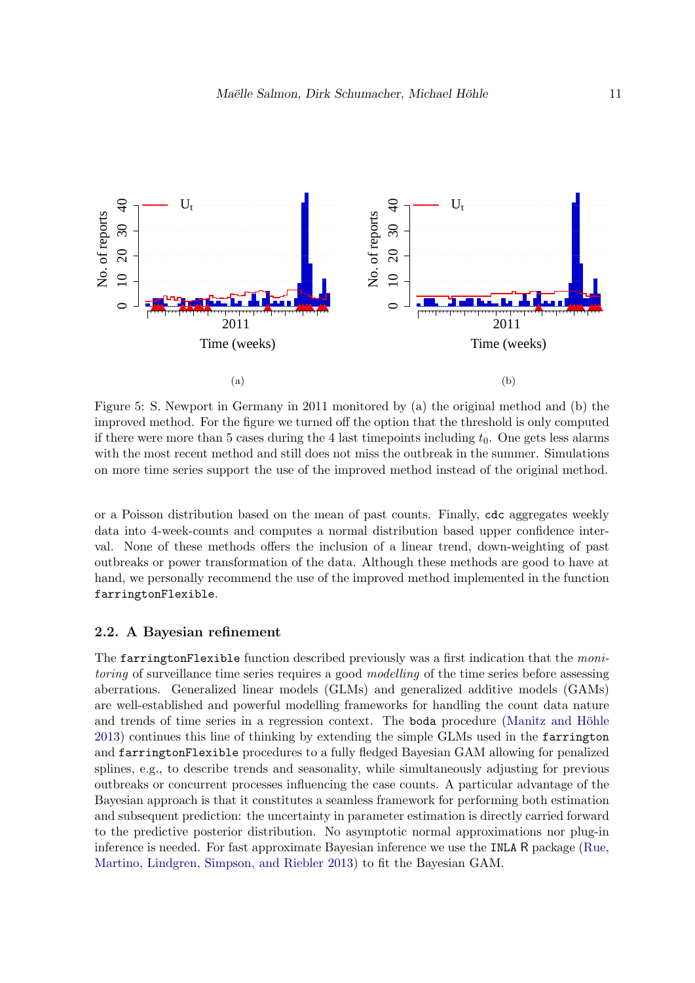<span id="page-10-0"></span>

Figure 5: S. Newport in Germany in 2011 monitored by (a) the original method and (b) the improved method. For the figure we turned off the option that the threshold is only computed if there were more than 5 cases during the 4 last timepoints including  $t_0$ . One gets less alarms with the most recent method and still does not miss the outbreak in the summer. Simulations on more time series support the use of the improved method instead of the original method.

or a Poisson distribution based on the mean of past counts. Finally, cdc aggregates weekly data into 4-week-counts and computes a normal distribution based upper confidence interval. None of these methods offers the inclusion of a linear trend, down-weighting of past outbreaks or power transformation of the data. Although these methods are good to have at hand, we personally recommend the use of the improved method implemented in the function farringtonFlexible.

#### 2.2. A Bayesian refinement

The farringtonFlexible function described previously was a first indication that the monitoring of surveillance time series requires a good modelling of the time series before assessing aberrations. Generalized linear models (GLMs) and generalized additive models (GAMs) are well-established and powerful modelling frameworks for handling the count data nature and trends of time series in a regression context. The boda procedure (Manitz and Höhle [2013\)](#page-32-4) continues this line of thinking by extending the simple GLMs used in the farrington and farringtonFlexible procedures to a fully fledged Bayesian GAM allowing for penalized splines, e.g., to describe trends and seasonality, while simultaneously adjusting for previous outbreaks or concurrent processes influencing the case counts. A particular advantage of the Bayesian approach is that it constitutes a seamless framework for performing both estimation and subsequent prediction: the uncertainty in parameter estimation is directly carried forward to the predictive posterior distribution. No asymptotic normal approximations nor plug-in inference is needed. For fast approximate Bayesian inference we use the INLA R package [\(Rue,](#page-33-5) [Martino, Lindgren, Simpson, and Riebler](#page-33-5) [2013\)](#page-33-5) to fit the Bayesian GAM.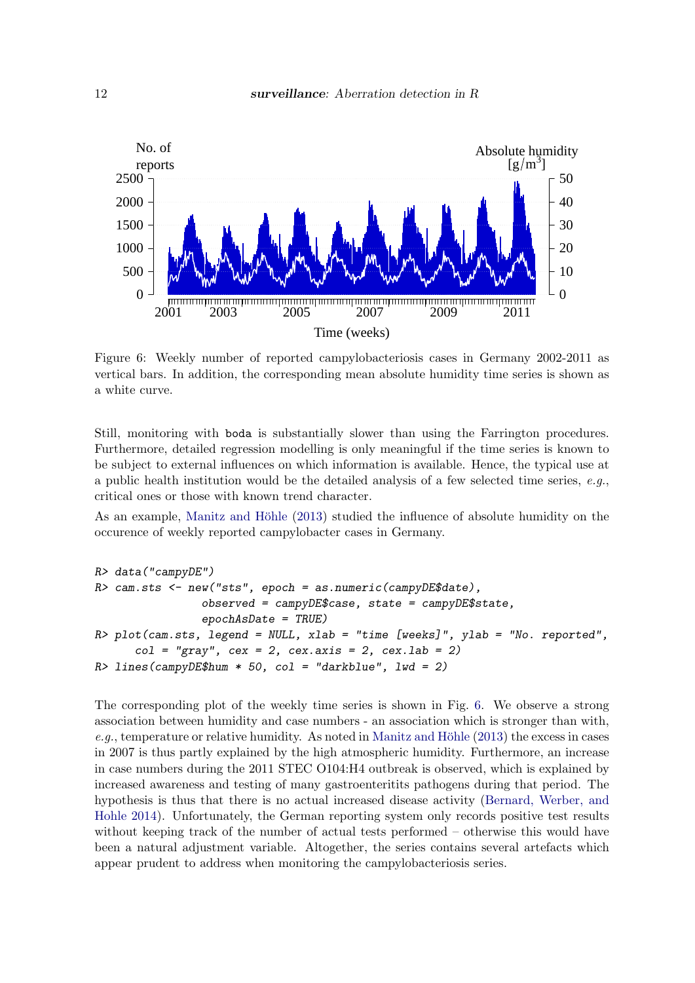<span id="page-11-0"></span>

Figure 6: Weekly number of reported campylobacteriosis cases in Germany 2002-2011 as vertical bars. In addition, the corresponding mean absolute humidity time series is shown as a white curve.

Still, monitoring with boda is substantially slower than using the Farrington procedures. Furthermore, detailed regression modelling is only meaningful if the time series is known to be subject to external influences on which information is available. Hence, the typical use at a public health institution would be the detailed analysis of a few selected time series,  $e.q.,$ critical ones or those with known trend character.

As an example, Manitz and Höhle [\(2013\)](#page-32-4) studied the influence of absolute humidity on the occurence of weekly reported campylobacter cases in Germany.

```
R> data("campyDE")
R> cam.sts <- new("sts", epoch = as.numeric(campyDE$date),
                 observed = campyDE$case, state = campyDE$state,
                 epochAsDate = TRUE)
R> plot(cam.sts, legend = NULL, xlab = "time [weeks]", ylab = "No. reported",
      col = "gray", \text{cex} = 2, \text{cex.axis} = 2, \text{cex.lab} = 2)R> lines(campyDE$hum * 50, col = "darkblue", lwd = 2)
```
The corresponding plot of the weekly time series is shown in Fig. [6.](#page-11-0) We observe a strong association between humidity and case numbers - an association which is stronger than with,  $e.g.,$  temperature or relative humidity. As noted in Manitz and Höhle [\(2013\)](#page-32-4) the excess in cases in 2007 is thus partly explained by the high atmospheric humidity. Furthermore, an increase in case numbers during the 2011 STEC O104:H4 outbreak is observed, which is explained by increased awareness and testing of many gastroenteritits pathogens during that period. The hypothesis is thus that there is no actual increased disease activity [\(Bernard, Werber, and](#page-30-3) [Hohle](#page-30-3) [2014\)](#page-30-3). Unfortunately, the German reporting system only records positive test results without keeping track of the number of actual tests performed – otherwise this would have been a natural adjustment variable. Altogether, the series contains several artefacts which appear prudent to address when monitoring the campylobacteriosis series.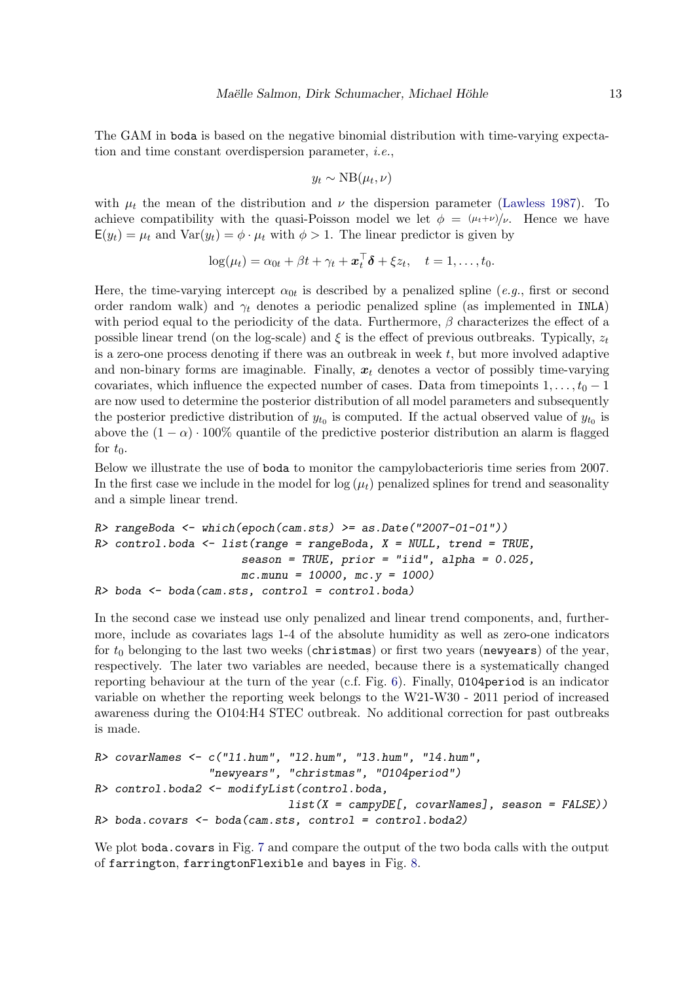The GAM in boda is based on the negative binomial distribution with time-varying expectation and time constant overdispersion parameter, i.e.,

$$
y_t \sim \text{NB}(\mu_t, \nu)
$$

with  $\mu_t$  the mean of the distribution and  $\nu$  the dispersion parameter [\(Lawless](#page-31-9) [1987\)](#page-31-9). To achieve compatibility with the quasi-Poisson model we let  $\phi = (\mu_t + \nu)/\nu$ . Hence we have  $E(y_t) = \mu_t$  and  $Var(y_t) = \phi \cdot \mu_t$  with  $\phi > 1$ . The linear predictor is given by

$$
\log(\mu_t) = \alpha_{0t} + \beta t + \gamma_t + \boldsymbol{x}_t^{\top} \boldsymbol{\delta} + \xi z_t, \quad t = 1, \ldots, t_0.
$$

Here, the time-varying intercept  $\alpha_{0t}$  is described by a penalized spline (*e.g.*, first or second order random walk) and  $\gamma_t$  denotes a periodic penalized spline (as implemented in INLA) with period equal to the periodicity of the data. Furthermore,  $\beta$  characterizes the effect of a possible linear trend (on the log-scale) and  $\xi$  is the effect of previous outbreaks. Typically,  $z_t$ is a zero-one process denoting if there was an outbreak in week  $t$ , but more involved adaptive and non-binary forms are imaginable. Finally,  $x_t$  denotes a vector of possibly time-varying covariates, which influence the expected number of cases. Data from timepoints  $1, \ldots, t_0 - 1$ are now used to determine the posterior distribution of all model parameters and subsequently the posterior predictive distribution of  $y_{t_0}$  is computed. If the actual observed value of  $y_{t_0}$  is above the  $(1 - \alpha) \cdot 100\%$  quantile of the predictive posterior distribution an alarm is flagged for  $t_0$ .

Below we illustrate the use of boda to monitor the campylobacterioris time series from 2007. In the first case we include in the model for  $\log(\mu_t)$  penalized splines for trend and seasonality and a simple linear trend.

```
R> rangeBoda <- which(epoch(cam.sts) >= as.Date("2007-01-01"))
R> control.boda <- list(range = rangeBoda, X = NULL, trend = TRUE,
                      season = TRUE, prior = "iid", alpha = 0.025,
                      mc.munu = 10000, mc.y = 1000)R> boda \leq boda(cam.sts, control = control.boda)
```
In the second case we instead use only penalized and linear trend components, and, furthermore, include as covariates lags 1-4 of the absolute humidity as well as zero-one indicators for  $t_0$  belonging to the last two weeks (christmas) or first two years (newyears) of the year, respectively. The later two variables are needed, because there is a systematically changed reporting behaviour at the turn of the year (c.f. Fig. [6\)](#page-11-0). Finally, O104period is an indicator variable on whether the reporting week belongs to the W21-W30 - 2011 period of increased awareness during the O104:H4 STEC outbreak. No additional correction for past outbreaks is made.

```
R> covarNames <- c("l1.hum", "l2.hum", "l3.hum", "l4.hum",
                 "newyears", "christmas", "O104period")
R> control.boda2 <- modifyList(control.boda,
                             list(X = campyDE[, covarNames], season = FALSE)R> boda.covars <- boda(cam.sts, control = control.boda2)
```
We plot boda.covars in Fig. [7](#page-13-0) and compare the output of the two boda calls with the output of farrington, farringtonFlexible and bayes in Fig. [8.](#page-14-0)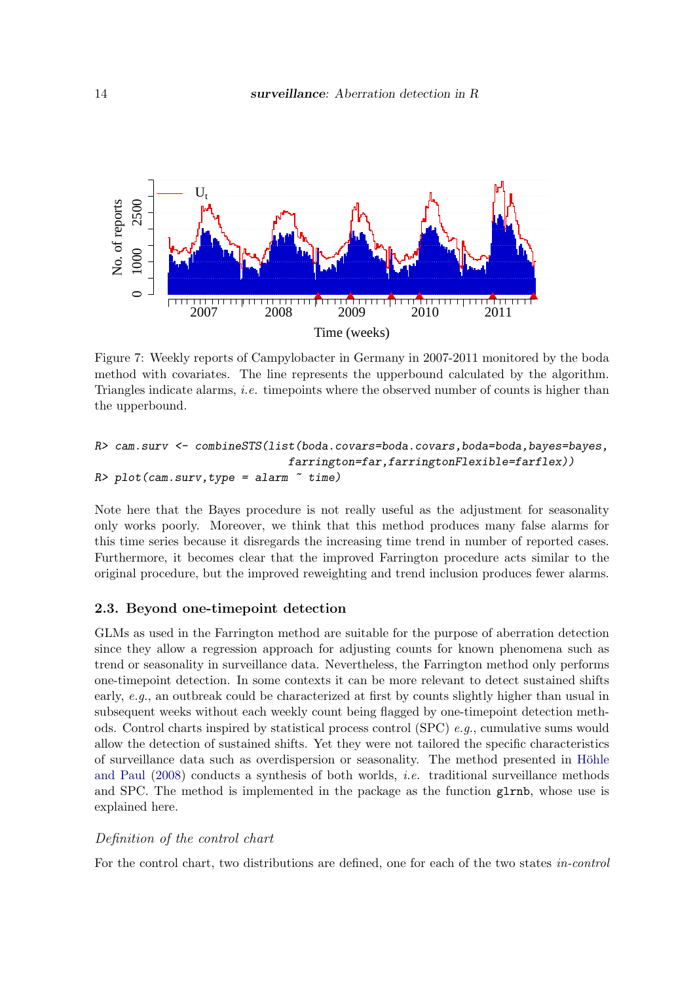<span id="page-13-0"></span>

Figure 7: Weekly reports of Campylobacter in Germany in 2007-2011 monitored by the boda method with covariates. The line represents the upperbound calculated by the algorithm. Triangles indicate alarms, i.e. timepoints where the observed number of counts is higher than the upperbound.

```
R> cam.surv <- combineSTS(list(boda.covars=boda.covars,boda=boda,bayes=bayes,
                              farrington=far,farringtonFlexible=farflex))
R> plot(cam.surv,type = alarm \tilde{ } time)
```
Note here that the Bayes procedure is not really useful as the adjustment for seasonality only works poorly. Moreover, we think that this method produces many false alarms for this time series because it disregards the increasing time trend in number of reported cases. Furthermore, it becomes clear that the improved Farrington procedure acts similar to the original procedure, but the improved reweighting and trend inclusion produces fewer alarms.

### 2.3. Beyond one-timepoint detection

GLMs as used in the Farrington method are suitable for the purpose of aberration detection since they allow a regression approach for adjusting counts for known phenomena such as trend or seasonality in surveillance data. Nevertheless, the Farrington method only performs one-timepoint detection. In some contexts it can be more relevant to detect sustained shifts early, e.g., an outbreak could be characterized at first by counts slightly higher than usual in subsequent weeks without each weekly count being flagged by one-timepoint detection methods. Control charts inspired by statistical process control (SPC)  $e.g.,$  cumulative sums would allow the detection of sustained shifts. Yet they were not tailored the specific characteristics of surveillance data such as overdispersion or seasonality. The method presented in Höhle [and Paul](#page-31-6) [\(2008\)](#page-31-6) conducts a synthesis of both worlds, i.e. traditional surveillance methods and SPC. The method is implemented in the package as the function glrnb, whose use is explained here.

### Definition of the control chart

For the control chart, two distributions are defined, one for each of the two states in-control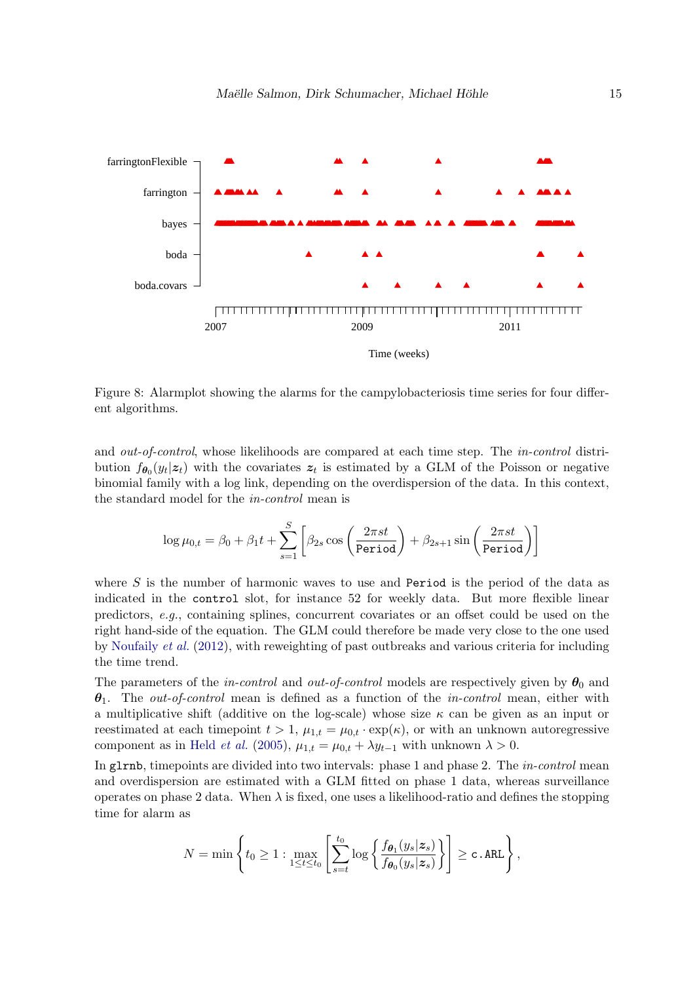<span id="page-14-0"></span>

Figure 8: Alarmplot showing the alarms for the campylobacteriosis time series for four different algorithms.

and out-of-control, whose likelihoods are compared at each time step. The in-control distribution  $f_{\theta_0}(y_t|z_t)$  with the covariates  $z_t$  is estimated by a GLM of the Poisson or negative binomial family with a log link, depending on the overdispersion of the data. In this context, the standard model for the in-control mean is

$$
\log \mu_{0,t} = \beta_0 + \beta_1 t + \sum_{s=1}^{S} \left[ \beta_{2s} \cos \left( \frac{2\pi s t}{\texttt{Period}} \right) + \beta_{2s+1} \sin \left( \frac{2\pi s t}{\texttt{Period}} \right) \right]
$$

where  $S$  is the number of harmonic waves to use and Period is the period of the data as indicated in the control slot, for instance 52 for weekly data. But more flexible linear predictors, e.g., containing splines, concurrent covariates or an offset could be used on the right hand-side of the equation. The GLM could therefore be made very close to the one used by [Noufaily](#page-32-3) et al. [\(2012\)](#page-32-3), with reweighting of past outbreaks and various criteria for including the time trend.

The parameters of the *in-control* and *out-of-control* models are respectively given by  $\theta_0$  and  $\theta_1$ . The *out-of-control* mean is defined as a function of the *in-control* mean, either with a multiplicative shift (additive on the log-scale) whose size  $\kappa$  can be given as an input or reestimated at each timepoint  $t > 1$ ,  $\mu_{1,t} = \mu_{0,t} \cdot \exp(\kappa)$ , or with an unknown autoregressive component as in Held *[et al.](#page-31-0)* [\(2005\)](#page-31-0),  $\mu_{1,t} = \mu_{0,t} + \lambda y_{t-1}$  with unknown  $\lambda > 0$ .

In g1rnb, timepoints are divided into two intervals: phase 1 and phase 2. The *in-control* mean and overdispersion are estimated with a GLM fitted on phase 1 data, whereas surveillance operates on phase 2 data. When  $\lambda$  is fixed, one uses a likelihood-ratio and defines the stopping time for alarm as

$$
N=\min\left\{t_0\geq 1: \max_{1\leq t\leq t_0}\left[\sum_{s=t}^{t_0}\log\left\{\frac{f_{\boldsymbol{\theta}_1}(y_s|\boldsymbol{z}_s)}{f_{\boldsymbol{\theta}_0}(y_s|\boldsymbol{z}_s)}\right\}\right]\geq \texttt{c.ARL}\right\},
$$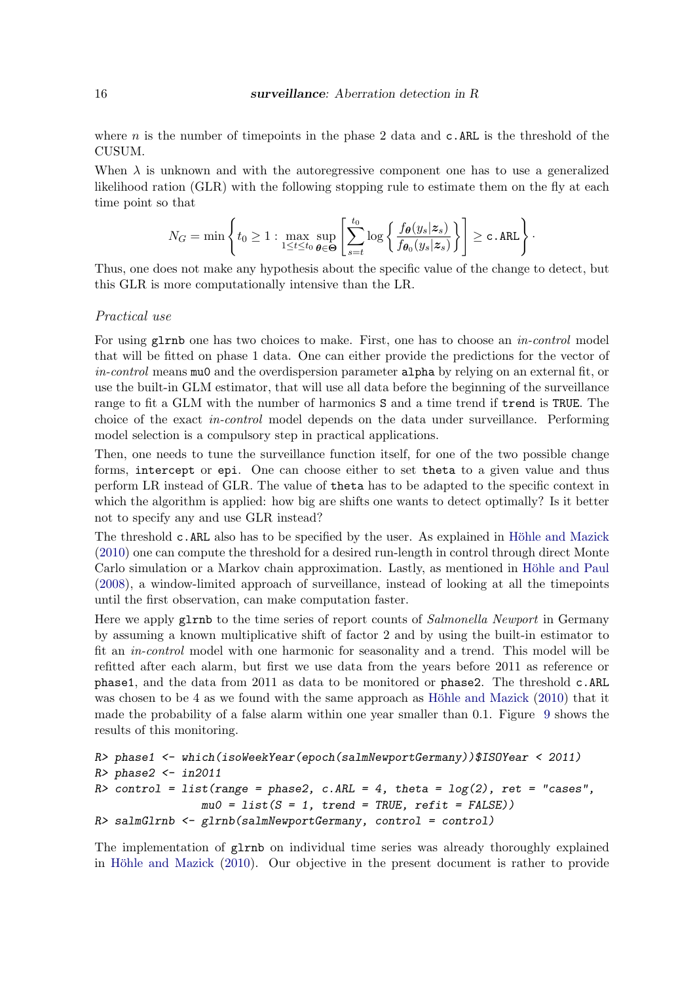where n is the number of timepoints in the phase 2 data and  $c$ . ARL is the threshold of the CUSUM.

When  $\lambda$  is unknown and with the autoregressive component one has to use a generalized likelihood ration (GLR) with the following stopping rule to estimate them on the fly at each time point so that

$$
N_G = \min\left\{t_0 \geq 1 : \max_{1 \leq t \leq t_0} \sup_{\theta \in \Theta} \left[ \sum_{s=t}^{t_0} \log \left\{ \frac{f_{\theta}(y_s|z_s)}{f_{\theta_0}(y_s|z_s)} \right\} \right] \geq \texttt{c.ARL} \right\}.
$$

Thus, one does not make any hypothesis about the specific value of the change to detect, but this GLR is more computationally intensive than the LR.

#### Practical use

For using glrnb one has two choices to make. First, one has to choose an *in-control* model that will be fitted on phase 1 data. One can either provide the predictions for the vector of in-control means muo and the overdispersion parameter alpha by relying on an external fit, or use the built-in GLM estimator, that will use all data before the beginning of the surveillance range to fit a GLM with the number of harmonics S and a time trend if trend is TRUE. The choice of the exact in-control model depends on the data under surveillance. Performing model selection is a compulsory step in practical applications.

Then, one needs to tune the surveillance function itself, for one of the two possible change forms, intercept or epi. One can choose either to set theta to a given value and thus perform LR instead of GLR. The value of theta has to be adapted to the specific context in which the algorithm is applied: how big are shifts one wants to detect optimally? Is it better not to specify any and use GLR instead?

The threshold c.ARL also has to be specified by the user. As explained in Höhle and Mazick [\(2010\)](#page-31-3) one can compute the threshold for a desired run-length in control through direct Monte Carlo simulation or a Markov chain approximation. Lastly, as mentioned in Höhle and Paul [\(2008\)](#page-31-6), a window-limited approach of surveillance, instead of looking at all the timepoints until the first observation, can make computation faster.

Here we apply glrnb to the time series of report counts of *Salmonella Newport* in Germany by assuming a known multiplicative shift of factor 2 and by using the built-in estimator to fit an in-control model with one harmonic for seasonality and a trend. This model will be refitted after each alarm, but first we use data from the years before 2011 as reference or phase1, and the data from 2011 as data to be monitored or phase2. The threshold c.ARL was chosen to be 4 as we found with the same approach as Höhle and Mazick  $(2010)$  that it made the probability of a false alarm within one year smaller than 0.1. Figure [9](#page-16-0) shows the results of this monitoring.

```
R> phase1 <- which(isoWeekYear(epoch(salmNewportGermany))$ISOYear < 2011)
R> phase2 <- in2011
R> control = list(range = phase2, c.ARL = 4, theta = log(2), ret = "cases",
                mu0 = list(S = 1, trend = TRUE, refit = FALSE))R> salmGlrnb <- glrnb(salmNewportGermany, control = control)
```
The implementation of glrnb on individual time series was already thoroughly explained in Höhle and Mazick  $(2010)$ . Our objective in the present document is rather to provide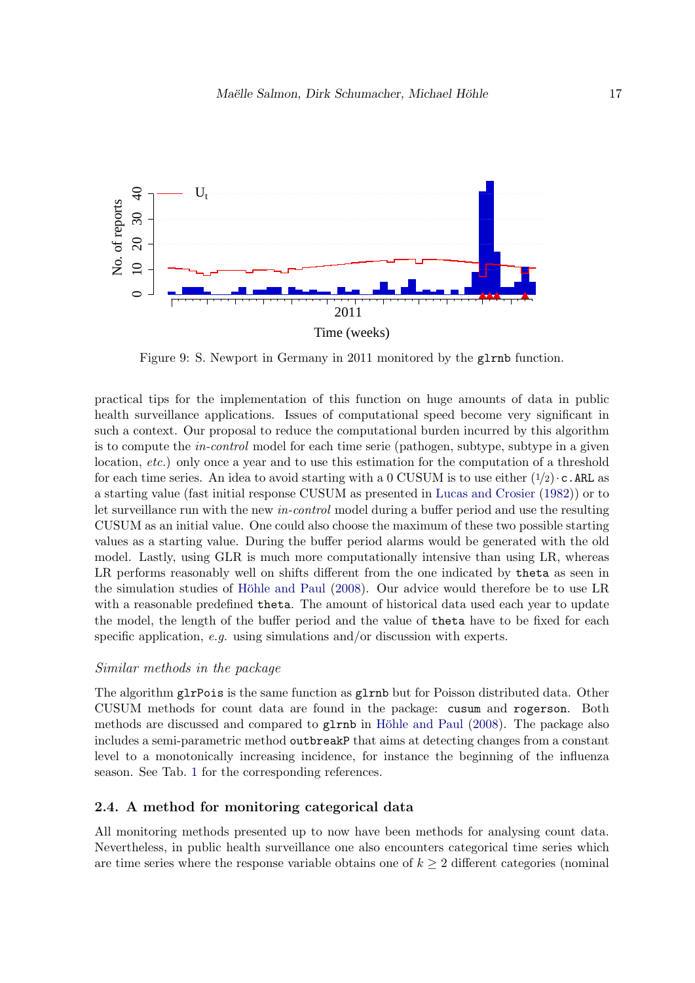<span id="page-16-0"></span>

Figure 9: S. Newport in Germany in 2011 monitored by the glrnb function.

practical tips for the implementation of this function on huge amounts of data in public health surveillance applications. Issues of computational speed become very significant in such a context. Our proposal to reduce the computational burden incurred by this algorithm is to compute the *in-control* model for each time serie (pathogen, subtype, subtype in a given location, etc.) only once a year and to use this estimation for the computation of a threshold for each time series. An idea to avoid starting with a 0 CUSUM is to use either  $(1/2) \cdot c$ . ARL as a starting value (fast initial response CUSUM as presented in [Lucas and Crosier](#page-32-5) [\(1982\)](#page-32-5)) or to let surveillance run with the new in-control model during a buffer period and use the resulting CUSUM as an initial value. One could also choose the maximum of these two possible starting values as a starting value. During the buffer period alarms would be generated with the old model. Lastly, using GLR is much more computationally intensive than using LR, whereas LR performs reasonably well on shifts different from the one indicated by theta as seen in the simulation studies of Höhle and Paul [\(2008\)](#page-31-6). Our advice would therefore be to use LR with a reasonable predefined theta. The amount of historical data used each year to update the model, the length of the buffer period and the value of theta have to be fixed for each specific application, e.g. using simulations and/or discussion with experts.

### Similar methods in the package

The algorithm glrPois is the same function as glrnb but for Poisson distributed data. Other CUSUM methods for count data are found in the package: cusum and rogerson. Both methods are discussed and compared to  $g1rnb$  in Höhle and Paul [\(2008\)](#page-31-6). The package also includes a semi-parametric method outbreakP that aims at detecting changes from a constant level to a monotonically increasing incidence, for instance the beginning of the influenza season. See Tab. [1](#page-26-0) for the corresponding references.

#### 2.4. A method for monitoring categorical data

All monitoring methods presented up to now have been methods for analysing count data. Nevertheless, in public health surveillance one also encounters categorical time series which are time series where the response variable obtains one of  $k \geq 2$  different categories (nominal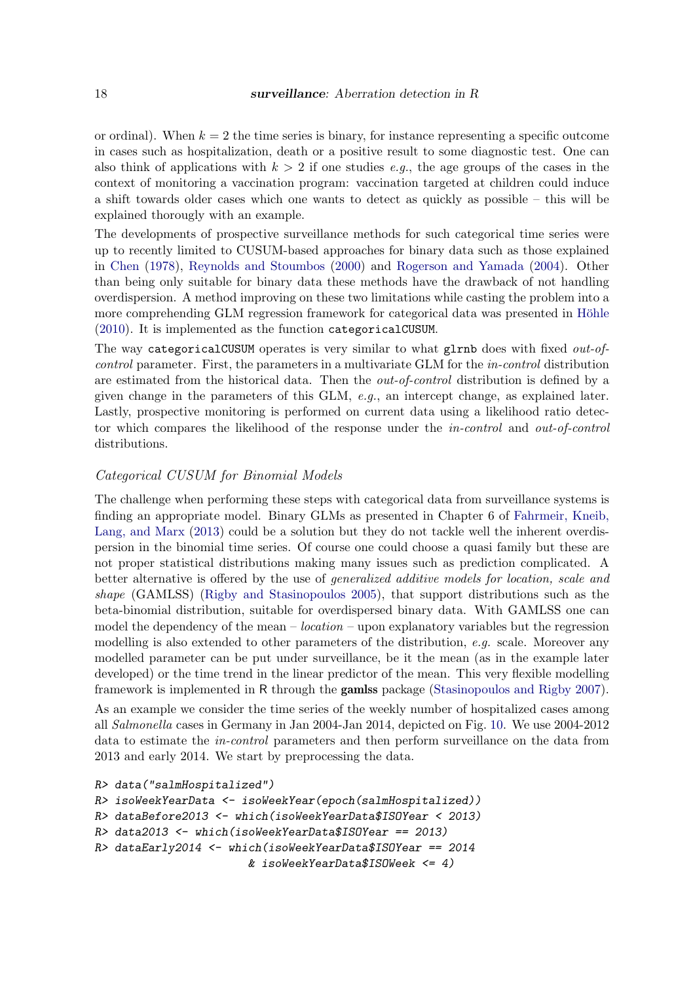or ordinal). When  $k = 2$  the time series is binary, for instance representing a specific outcome in cases such as hospitalization, death or a positive result to some diagnostic test. One can also think of applications with  $k > 2$  if one studies e.g., the age groups of the cases in the context of monitoring a vaccination program: vaccination targeted at children could induce a shift towards older cases which one wants to detect as quickly as possible – this will be explained thorougly with an example.

The developments of prospective surveillance methods for such categorical time series were up to recently limited to CUSUM-based approaches for binary data such as those explained in [Chen](#page-30-4) [\(1978\)](#page-30-4), [Reynolds and Stoumbos](#page-32-6) [\(2000\)](#page-32-6) and [Rogerson and Yamada](#page-32-7) [\(2004\)](#page-32-7). Other than being only suitable for binary data these methods have the drawback of not handling overdispersion. A method improving on these two limitations while casting the problem into a more comprehending GLM regression framework for categorical data was presented in Höhle [\(2010\)](#page-31-7). It is implemented as the function categoricalCUSUM.

The way categoricalCUSUM operates is very similar to what glrnb does with fixed *out-of*control parameter. First, the parameters in a multivariate GLM for the in-control distribution are estimated from the historical data. Then the out-of-control distribution is defined by a given change in the parameters of this GLM,  $e.a.,$  an intercept change, as explained later. Lastly, prospective monitoring is performed on current data using a likelihood ratio detector which compares the likelihood of the response under the in-control and out-of-control distributions.

### Categorical CUSUM for Binomial Models

The challenge when performing these steps with categorical data from surveillance systems is finding an appropriate model. Binary GLMs as presented in Chapter 6 of [Fahrmeir, Kneib,](#page-30-5) [Lang, and Marx](#page-30-5) [\(2013\)](#page-30-5) could be a solution but they do not tackle well the inherent overdispersion in the binomial time series. Of course one could choose a quasi family but these are not proper statistical distributions making many issues such as prediction complicated. A better alternative is offered by the use of generalized additive models for location, scale and shape (GAMLSS) [\(Rigby and Stasinopoulos](#page-32-8) [2005\)](#page-32-8), that support distributions such as the beta-binomial distribution, suitable for overdispersed binary data. With GAMLSS one can model the dependency of the mean  $-$  *location*  $-$  upon explanatory variables but the regression modelling is also extended to other parameters of the distribution, e.g. scale. Moreover any modelled parameter can be put under surveillance, be it the mean (as in the example later developed) or the time trend in the linear predictor of the mean. This very flexible modelling framework is implemented in R through the gamlss package [\(Stasinopoulos and Rigby](#page-33-6) [2007\)](#page-33-6).

As an example we consider the time series of the weekly number of hospitalized cases among all Salmonella cases in Germany in Jan 2004-Jan 2014, depicted on Fig. [10.](#page-20-0) We use 2004-2012 data to estimate the in-control parameters and then perform surveillance on the data from 2013 and early 2014. We start by preprocessing the data.

```
R> data("salmHospitalized")
```

```
R> isoWeekYearData <- isoWeekYear(epoch(salmHospitalized))
R> dataBefore2013 <- which(isoWeekYearData$ISOYear < 2013)
R> data2013 <- which(isoWeekYearData$ISOYear == 2013)
R> dataEarly2014 <- which(isoWeekYearData$ISOYear == 2014
                       & isoWeekYearData$ISOWeek <= 4)
```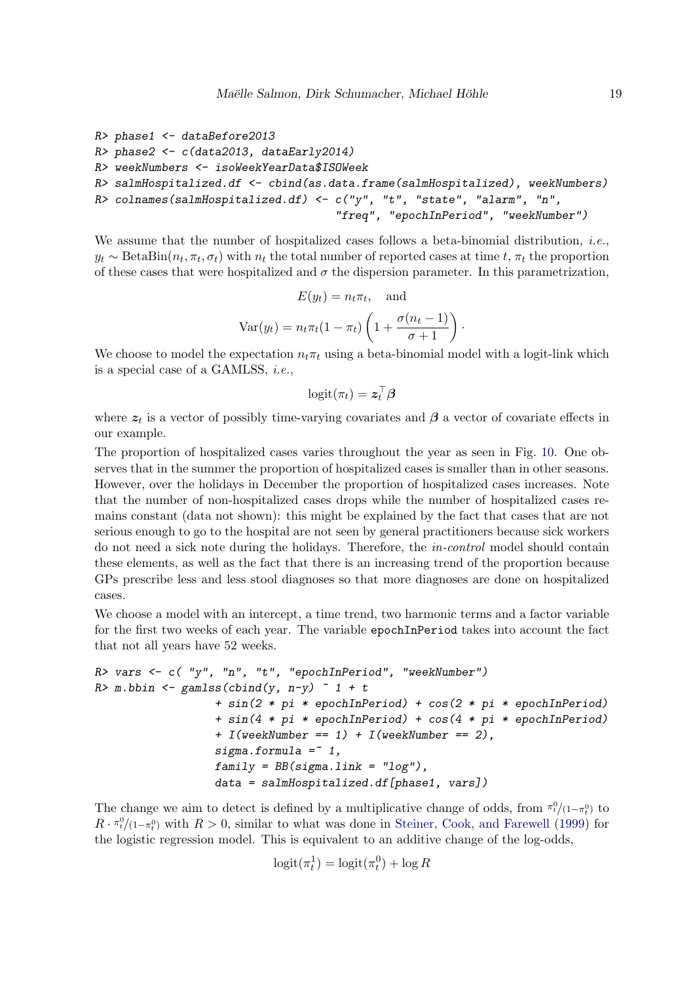```
R> phase1 <- dataBefore2013
R> phase2 <- c(data2013, dataEarly2014)
R> weekNumbers <- isoWeekYearData$ISOWeek
R> salmHospitalized.df <- cbind(as.data.frame(salmHospitalized), weekNumbers)
R> colnames(salmHospitalized.df) <- c("y", "t", "state", "alarm", "n",
                                    "freq", "epochInPeriod", "weekNumber")
```
We assume that the number of hospitalized cases follows a beta-binomial distribution, *i.e.*,  $y_t \sim \text{BetaBin}(n_t, \pi_t, \sigma_t)$  with  $n_t$  the total number of reported cases at time  $t, \pi_t$  the proportion of these cases that were hospitalized and  $\sigma$  the dispersion parameter. In this parametrization,

$$
E(y_t) = n_t \pi_t, \text{ and}
$$

$$
Var(y_t) = n_t \pi_t (1 - \pi_t) \left( 1 + \frac{\sigma(n_t - 1)}{\sigma + 1} \right).
$$

We choose to model the expectation  $n_t \pi_t$  using a beta-binomial model with a logit-link which is a special case of a GAMLSS, i.e.,

$$
\text{logit}(\pi_t) = \bm{z}_t^\top \bm{\beta}
$$

where  $z_t$  is a vector of possibly time-varying covariates and  $\beta$  a vector of covariate effects in our example.

The proportion of hospitalized cases varies throughout the year as seen in Fig. [10.](#page-20-0) One observes that in the summer the proportion of hospitalized cases is smaller than in other seasons. However, over the holidays in December the proportion of hospitalized cases increases. Note that the number of non-hospitalized cases drops while the number of hospitalized cases remains constant (data not shown): this might be explained by the fact that cases that are not serious enough to go to the hospital are not seen by general practitioners because sick workers do not need a sick note during the holidays. Therefore, the in-control model should contain these elements, as well as the fact that there is an increasing trend of the proportion because GPs prescribe less and less stool diagnoses so that more diagnoses are done on hospitalized cases.

We choose a model with an intercept, a time trend, two harmonic terms and a factor variable for the first two weeks of each year. The variable epochInPeriod takes into account the fact that not all years have 52 weeks.

```
R vars \leq c ("y", "n", "t", "epochInPeriod", "weekNumber")
R > m.bbin \leq gamlss(cbind(y, n-y) \sim 1 + t
                  + sin(2 * pi * epochInPeriod) + cos(2 * pi * epochInPeriod)
                  + sin(4 * pi * epochInPeriod) + cos(4 * pi * epochInPeriod)
                  + I(weekNumber == 1) + I(weekNumber == 2),sigma.formula = * 1,
                  family = BB(sign.1ink = "log"),
                  data = salmHospitalized.df[phase1, vars])
```
The change we aim to detect is defined by a multiplicative change of odds, from  $\pi_t^0/(1-\pi_t^0)$  to  $R \cdot \pi_t^0/(\pi_\tau^0)$  with  $R > 0$ , similar to what was done in [Steiner, Cook, and Farewell](#page-33-7) [\(1999\)](#page-33-7) for the logistic regression model. This is equivalent to an additive change of the log-odds,

$$
logit(\pi_t^1) = logit(\pi_t^0) + log R
$$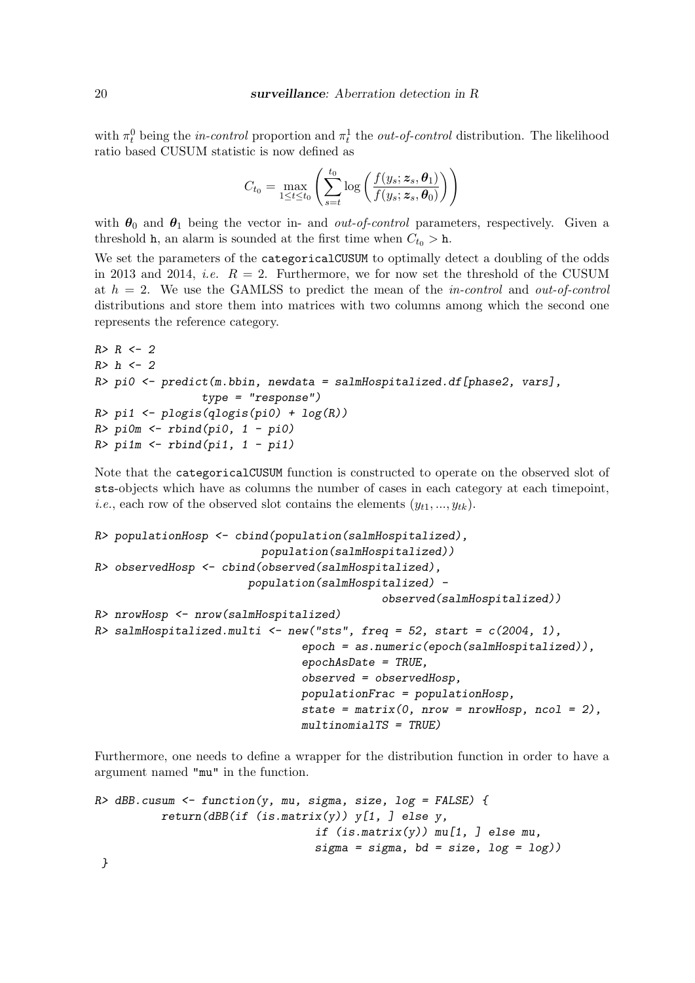with  $\pi_t^0$  being the *in-control* proportion and  $\pi_t^1$  the *out-of-control* distribution. The likelihood ratio based CUSUM statistic is now defined as

$$
C_{t_0} = \max_{1 \leq t \leq t_0} \left( \sum_{s=t}^{t_0} \log \left( \frac{f(y_s; \boldsymbol{z}_s, \boldsymbol{\theta}_1)}{f(y_s; \boldsymbol{z}_s, \boldsymbol{\theta}_0)} \right) \right)
$$

with  $\theta_0$  and  $\theta_1$  being the vector in- and *out-of-control* parameters, respectively. Given a threshold h, an alarm is sounded at the first time when  $C_{t_0} > h$ .

We set the parameters of the categoricalCUSUM to optimally detect a doubling of the odds in 2013 and 2014, *i.e.*  $R = 2$ . Furthermore, we for now set the threshold of the CUSUM at  $h = 2$ . We use the GAMLSS to predict the mean of the *in-control* and *out-of-control* distributions and store them into matrices with two columns among which the second one represents the reference category.

```
R > R < -2R > h < - 2R> pi0 <- predict(m.bbin, newdata = salmHospitalized.df[phase2, vars],
                type = "response")
R> pi1 <- plogis(qlogis(pi0) + log(R))
R> pi0m <- rbind(pi0, 1 - pi0)
R> pi1m <- rbind(pi1, 1 - pi1)
```
Note that the categoricalCUSUM function is constructed to operate on the observed slot of sts-objects which have as columns the number of cases in each category at each timepoint, *i.e.*, each row of the observed slot contains the elements  $(y_{t1}, ..., y_{tk})$ .

```
R> populationHosp <- cbind(population(salmHospitalized),
                         population(salmHospitalized))
R> observedHosp <- cbind(observed(salmHospitalized),
                       population(salmHospitalized) -
                                            observed(salmHospitalized))
R> nrowHosp <- nrow(salmHospitalized)
R> salmHospitalized.multi <- new("sts", freq = 52, start = c(2004, 1),
                               epoch = as.numeric(epoch(salmHospitalized)),
                               epochAsDate = TRUE,
                               observed = observedHosp,
                               populationFrac = populationHosp,
                               state = matrix(0, nrow = nrowHosp, ncol = 2),
                               multinomialTS = TRUE)
```
Furthermore, one needs to define a wrapper for the distribution function in order to have a argument named "mu" in the function.

```
R> dBB.cusum <- function(y, mu, sigma, size, log = FALSE) {
          return(dBB(if (is.matrix(y)) y[1, 1] else y,
                                  if (is.\text{matrix}(y)) mu[1, ] else mu,
                                  sigma = sigma, bd = size, log = log()
```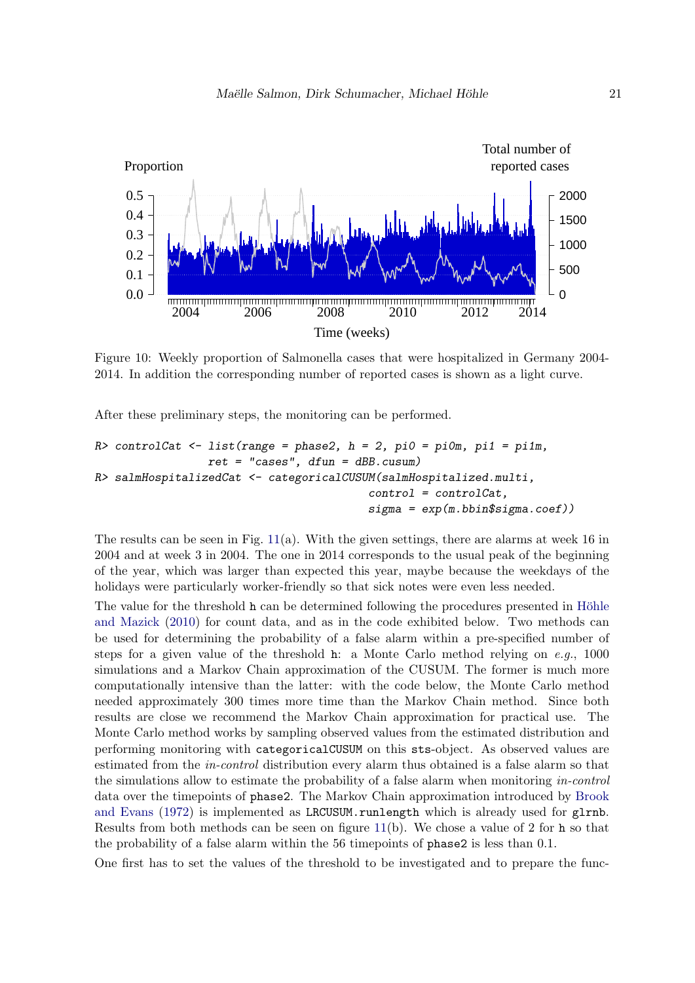<span id="page-20-0"></span>

Figure 10: Weekly proportion of Salmonella cases that were hospitalized in Germany 2004- 2014. In addition the corresponding number of reported cases is shown as a light curve.

After these preliminary steps, the monitoring can be performed.

```
R> controlCat <- list(range = phase2, h = 2, pi0 = pi0m, pi1 = pi1m,
                 ret = "cases", dfun = dBB.cusum)R> salmHospitalizedCat <- categoricalCUSUM(salmHospitalized.multi,
                                         control = controlCat,
                                         signa = exp(m.bbin $signa.coeff)
```
The results can be seen in Fig.  $11(a)$  $11(a)$ . With the given settings, there are alarms at week 16 in 2004 and at week 3 in 2004. The one in 2014 corresponds to the usual peak of the beginning of the year, which was larger than expected this year, maybe because the weekdays of the holidays were particularly worker-friendly so that sick notes were even less needed.

The value for the threshold h can be determined following the procedures presented in Höhle [and Mazick](#page-31-3) [\(2010\)](#page-31-3) for count data, and as in the code exhibited below. Two methods can be used for determining the probability of a false alarm within a pre-specified number of steps for a given value of the threshold h: a Monte Carlo method relying on  $e.g., 1000$ simulations and a Markov Chain approximation of the CUSUM. The former is much more computationally intensive than the latter: with the code below, the Monte Carlo method needed approximately 300 times more time than the Markov Chain method. Since both results are close we recommend the Markov Chain approximation for practical use. The Monte Carlo method works by sampling observed values from the estimated distribution and performing monitoring with categoricalCUSUM on this sts-object. As observed values are estimated from the in-control distribution every alarm thus obtained is a false alarm so that the simulations allow to estimate the probability of a false alarm when monitoring in-control data over the timepoints of phase2. The Markov Chain approximation introduced by [Brook](#page-30-6) [and Evans](#page-30-6) [\(1972\)](#page-30-6) is implemented as LRCUSUM.runlength which is already used for glrnb. Results from both methods can be seen on figure  $11(b)$  $11(b)$ . We chose a value of 2 for h so that the probability of a false alarm within the 56 timepoints of phase2 is less than 0.1.

One first has to set the values of the threshold to be investigated and to prepare the func-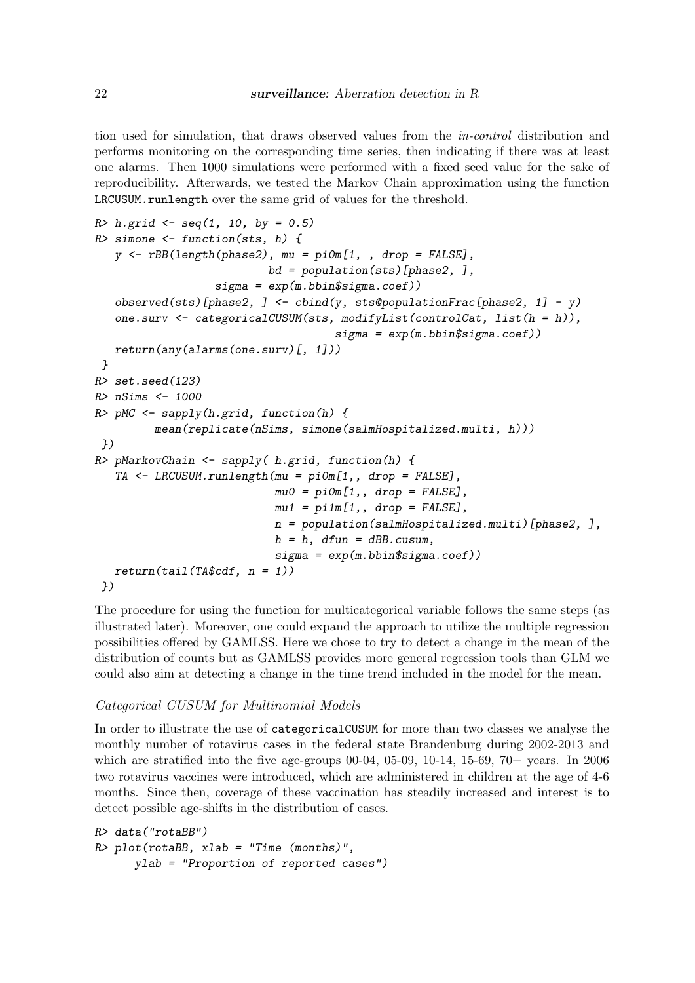tion used for simulation, that draws observed values from the in-control distribution and performs monitoring on the corresponding time series, then indicating if there was at least one alarms. Then 1000 simulations were performed with a fixed seed value for the sake of reproducibility. Afterwards, we tested the Markov Chain approximation using the function LRCUSUM.runlength over the same grid of values for the threshold.

```
R> h.grid \leq seq(1, 10, by = 0.5)R> simone \leq function(sts, h) {
   y \leq -rBB(length(phase2), mu = pi0m[1, , drop = FALSE],bd = population(sts)[phase2, ],
                  sigma = exp(m.bbin$sigma.coef))
   observed(sts)[phase2, ] <- cbind(y, sts@populationFrac[phase2, 1] - y)
   one.surv \leq categoricalCUSUM(sts, modifyList(controlCat, list(h = h)),
                                     sigma = exp(m.bbin$sigma.coef))
   return(any(alarms(one.surv)[, 1]))
}
R> set.seed(123)
R> nSims <- 1000
R> pMC <- sapply(h.grid, function(h) {
         mean(replicate(nSims, simone(salmHospitalized.multi, h)))
})
R> pMarkovChain <- sapply( h.grid, function(h) {
   TA <- LRCUSUM.runlength(mu = pi0m[1,, drop = FALSE],
                           mu0 = pi0m[1,, drop = FALSE],
                           mu1 = pi1m[1,, drop = FALSE],
                           n = population(salmHospitalized.multi)[phase2, ],
                           h = h, dfun = dBB.cusum,
                           signa = exp(m.bbin $signa.coef))return(tail(TA$cdf, n = 1))})
```
The procedure for using the function for multicategorical variable follows the same steps (as illustrated later). Moreover, one could expand the approach to utilize the multiple regression possibilities offered by GAMLSS. Here we chose to try to detect a change in the mean of the distribution of counts but as GAMLSS provides more general regression tools than GLM we could also aim at detecting a change in the time trend included in the model for the mean.

#### Categorical CUSUM for Multinomial Models

In order to illustrate the use of categoricalCUSUM for more than two classes we analyse the monthly number of rotavirus cases in the federal state Brandenburg during 2002-2013 and which are stratified into the five age-groups 00-04, 05-09, 10-14, 15-69, 70+ years. In 2006 two rotavirus vaccines were introduced, which are administered in children at the age of 4-6 months. Since then, coverage of these vaccination has steadily increased and interest is to detect possible age-shifts in the distribution of cases.

```
R> data("rotaBB")
R> plot(rotaBB, xlab = "Time (months)",
     ylab = "Proportion of reported cases")
```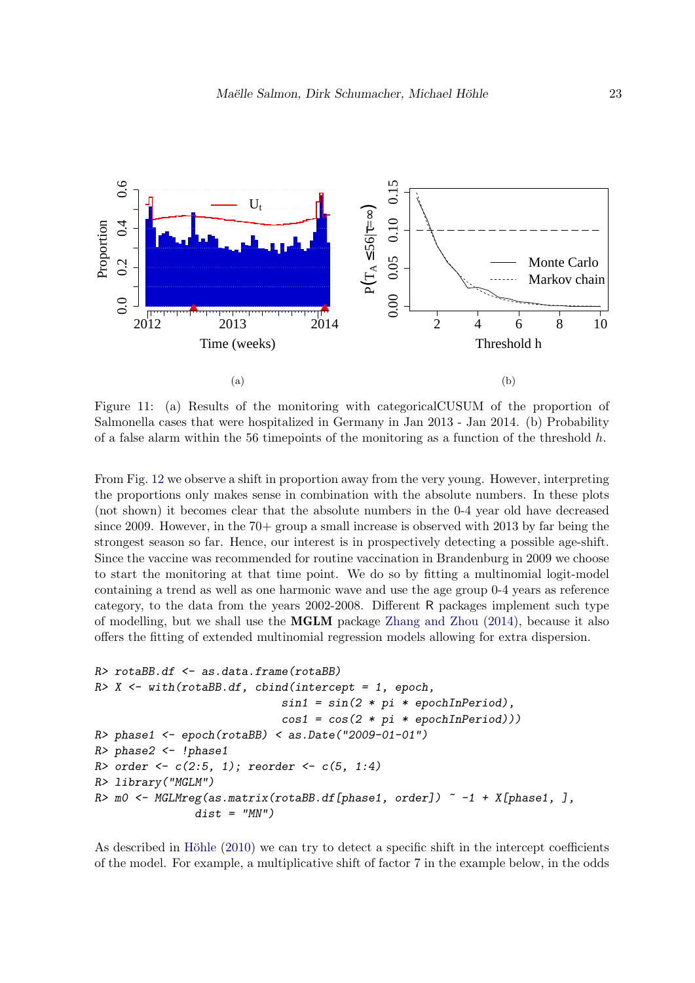<span id="page-22-0"></span>

Figure 11: (a) Results of the monitoring with categoricalCUSUM of the proportion of Salmonella cases that were hospitalized in Germany in Jan 2013 - Jan 2014. (b) Probability of a false alarm within the 56 timepoints of the monitoring as a function of the threshold  $h$ .

From Fig. [12](#page-23-0) we observe a shift in proportion away from the very young. However, interpreting the proportions only makes sense in combination with the absolute numbers. In these plots (not shown) it becomes clear that the absolute numbers in the 0-4 year old have decreased since 2009. However, in the 70+ group a small increase is observed with 2013 by far being the strongest season so far. Hence, our interest is in prospectively detecting a possible age-shift. Since the vaccine was recommended for routine vaccination in Brandenburg in 2009 we choose to start the monitoring at that time point. We do so by fitting a multinomial logit-model containing a trend as well as one harmonic wave and use the age group 0-4 years as reference category, to the data from the years 2002-2008. Different R packages implement such type of modelling, but we shall use the MGLM package [Zhang and Zhou](#page-34-0) [\(2014\)](#page-34-0), because it also offers the fitting of extended multinomial regression models allowing for extra dispersion.

```
R> rotaBB.df <- as.data.frame(rotaBB)
R > X \leq with(rotaBB.df, cbind(intercept = 1, epoch,
                                     sin1 = sin(2 * pi * epochInPeriod),
                                     cos1 = cos(2 * pi * epochInPeriod))R> phase1 <- epoch(rotaBB) < as.Date("2009-01-01")
R> phase2 <- !phase1
R order <- c(2:5, 1); reorder <- c(5, 1:4)R> library("MGLM")
R > m0 \leftarrow \text{MGLMreg}(\text{as}. \text{matrix}(\text{rot} \text{a} \text{B} \text{B} \text{d} \text{f}[\text{phase1}, \text{order}]) \sim -1 + X[\text{phase1}, \text{J}, \text{diag2}]dist = "MN")
```
As described in Höhle  $(2010)$  we can try to detect a specific shift in the intercept coefficients of the model. For example, a multiplicative shift of factor 7 in the example below, in the odds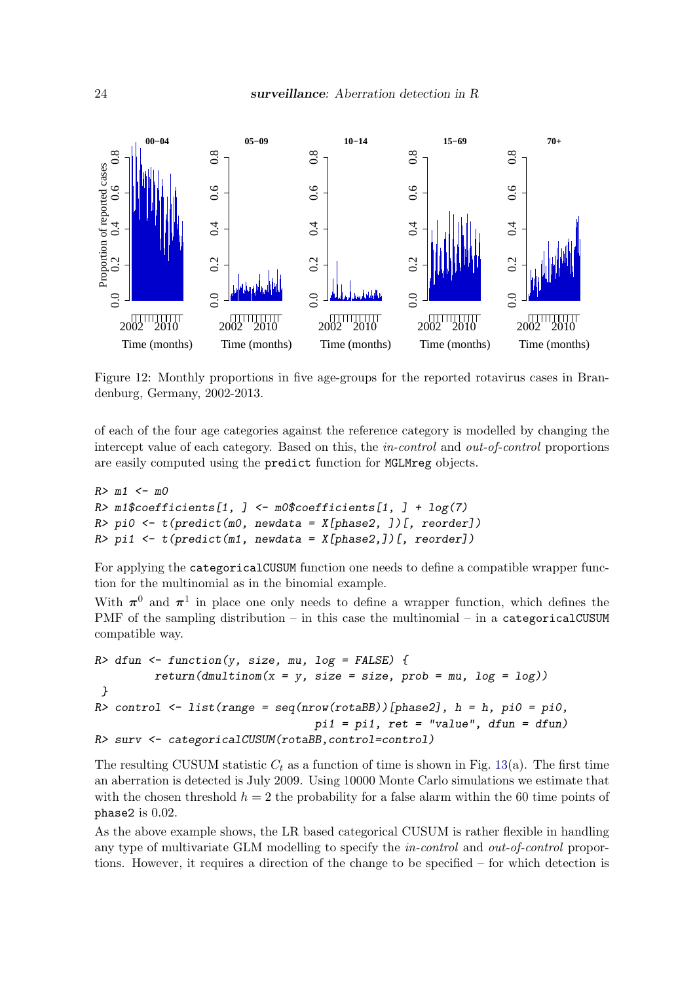<span id="page-23-0"></span>

Figure 12: Monthly proportions in five age-groups for the reported rotavirus cases in Brandenburg, Germany, 2002-2013.

of each of the four age categories against the reference category is modelled by changing the intercept value of each category. Based on this, the *in-control* and *out-of-control* proportions are easily computed using the predict function for MGLMreg objects.

```
R > m1 < - m0R \geq m1$coefficients[1, ] <- m0$coefficients[1, ] + log(7)
R> pi0 <- t(predict(m0, newdata = X[phase2, ])[, reorder])
R> pi1 <- t(predict(m1, newdata = X[phase2,]/[, reorder])
```
For applying the categoricalCUSUM function one needs to define a compatible wrapper function for the multinomial as in the binomial example.

With  $\pi^0$  and  $\pi^1$  in place one only needs to define a wrapper function, which defines the PMF of the sampling distribution – in this case the multinomial – in a categoricalCUSUM compatible way.

```
R> dfun <- function(y, size, mu, log = FALSE) {
         return(dmultinom(x = y, size = size, prob = mu, log = log))}
R> control <- list(range = seq(nrow(rotaBB))[phase2], h = h, pi0 = pi0,
                                 pi1 = pi1, ret = "value", dfun = dfun)R> surv <- categoricalCUSUM(rotaBB,control=control)
```
The resulting CUSUM statistic  $C_t$  as a function of time is shown in Fig. [13\(](#page-25-0)a). The first time an aberration is detected is July 2009. Using 10000 Monte Carlo simulations we estimate that with the chosen threshold  $h = 2$  the probability for a false alarm within the 60 time points of phase2 is 0.02.

As the above example shows, the LR based categorical CUSUM is rather flexible in handling any type of multivariate GLM modelling to specify the in-control and out-of-control proportions. However, it requires a direction of the change to be specified – for which detection is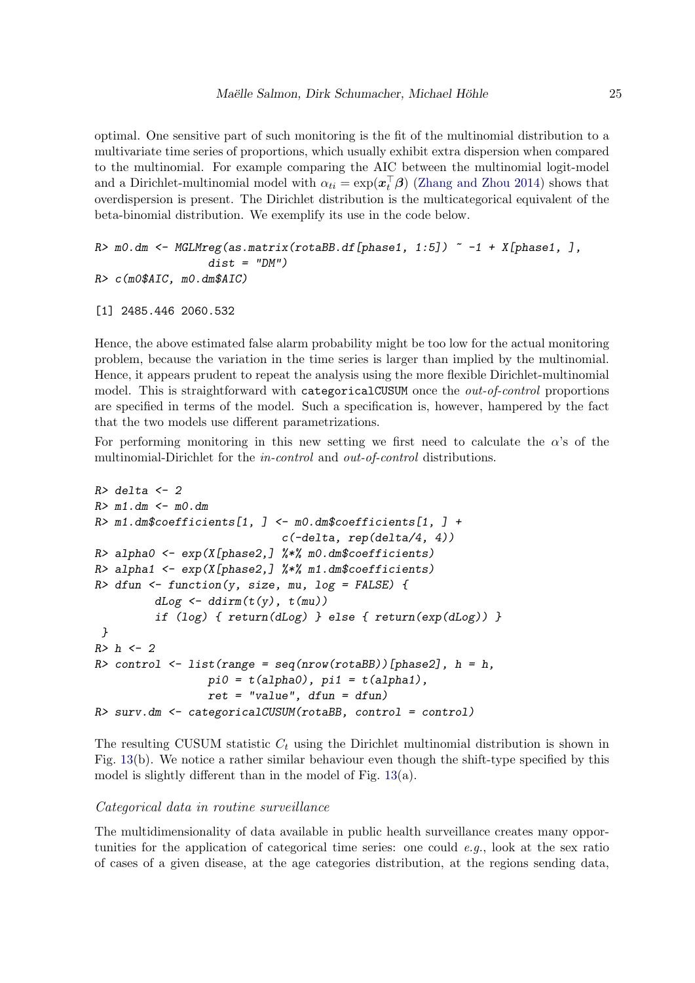optimal. One sensitive part of such monitoring is the fit of the multinomial distribution to a multivariate time series of proportions, which usually exhibit extra dispersion when compared to the multinomial. For example comparing the AIC between the multinomial logit-model and a Dirichlet-multinomial model with  $\alpha_{ti} = \exp(\boldsymbol{x}_t^{\top} \boldsymbol{\beta})$  [\(Zhang and Zhou](#page-34-0) [2014\)](#page-34-0) shows that overdispersion is present. The Dirichlet distribution is the multicategorical equivalent of the beta-binomial distribution. We exemplify its use in the code below.

```
R> m0.dm <- MGLMreg(as.matrix(rotaBB.df[phase1, 1:5]) \sim -1 + X[phase1, ],
                 dist = "DM")R> c(m0$AIC, m0.dm$AIC)
```

```
[1] 2485.446 2060.532
```
Hence, the above estimated false alarm probability might be too low for the actual monitoring problem, because the variation in the time series is larger than implied by the multinomial. Hence, it appears prudent to repeat the analysis using the more flexible Dirichlet-multinomial model. This is straightforward with categoricalCUSUM once the *out-of-control* proportions are specified in terms of the model. Such a specification is, however, hampered by the fact that the two models use different parametrizations.

For performing monitoring in this new setting we first need to calculate the  $\alpha$ 's of the multinomial-Dirichlet for the *in-control* and *out-of-control* distributions.

```
R> delta <- 2
R > m1.dm \le -m0.dmR> m1.dm$coefficients[1, ] <- m0.dm$coefficients[1, ] +
                             c(-delta, rep(delta/4, 4))
R> alpha0 <- exp(X[phase2,] %*% m0.dm$coefficients)
R> alpha1 <- exp(X[phase2,] \frac{1}{2} %% m1.dm$coefficients)
R> dfun <- function(y, size, mu, log = FALSE) {
         dLog \leftarrow ddim(t(y), t(mu))if (log) { return(dLog) } else { return(exp(dLog)) }
}
R>h \leq -2R> control <- list(range = seq(nrow(rotaBB))[phase2], h = h,
                 pi0 = t(alpha0), pi1 = t(alpha1),
                 ret = "value", dfun = dfun)R> surv.dm <- categoricalCUSUM(rotaBB, control = control)
```
The resulting CUSUM statistic  $C_t$  using the Dirichlet multinomial distribution is shown in Fig. [13\(](#page-25-0)b). We notice a rather similar behaviour even though the shift-type specified by this model is slightly different than in the model of Fig. [13\(](#page-25-0)a).

### Categorical data in routine surveillance

The multidimensionality of data available in public health surveillance creates many opportunities for the application of categorical time series: one could  $e, q$ , look at the sex ratio of cases of a given disease, at the age categories distribution, at the regions sending data,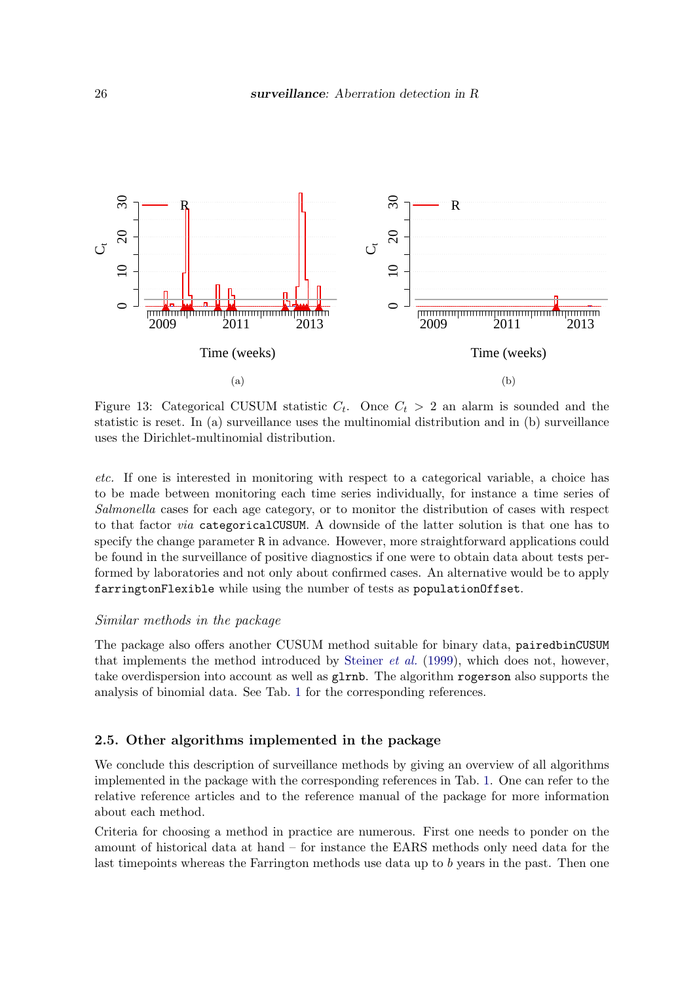<span id="page-25-0"></span>

Figure 13: Categorical CUSUM statistic  $C_t$ . Once  $C_t > 2$  an alarm is sounded and the statistic is reset. In (a) surveillance uses the multinomial distribution and in (b) surveillance uses the Dirichlet-multinomial distribution.

etc. If one is interested in monitoring with respect to a categorical variable, a choice has to be made between monitoring each time series individually, for instance a time series of Salmonella cases for each age category, or to monitor the distribution of cases with respect to that factor via categoricalCUSUM. A downside of the latter solution is that one has to specify the change parameter R in advance. However, more straightforward applications could be found in the surveillance of positive diagnostics if one were to obtain data about tests performed by laboratories and not only about confirmed cases. An alternative would be to apply farringtonFlexible while using the number of tests as populationOffset.

### Similar methods in the package

The package also offers another CUSUM method suitable for binary data, pairedbinCUSUM that implements the method introduced by [Steiner](#page-33-7) et al. [\(1999\)](#page-33-7), which does not, however, take overdispersion into account as well as glrnb. The algorithm rogerson also supports the analysis of binomial data. See Tab. [1](#page-26-0) for the corresponding references.

### 2.5. Other algorithms implemented in the package

We conclude this description of surveillance methods by giving an overview of all algorithms implemented in the package with the corresponding references in Tab. [1.](#page-26-0) One can refer to the relative reference articles and to the reference manual of the package for more information about each method.

Criteria for choosing a method in practice are numerous. First one needs to ponder on the amount of historical data at hand – for instance the EARS methods only need data for the last timepoints whereas the Farrington methods use data up to b years in the past. Then one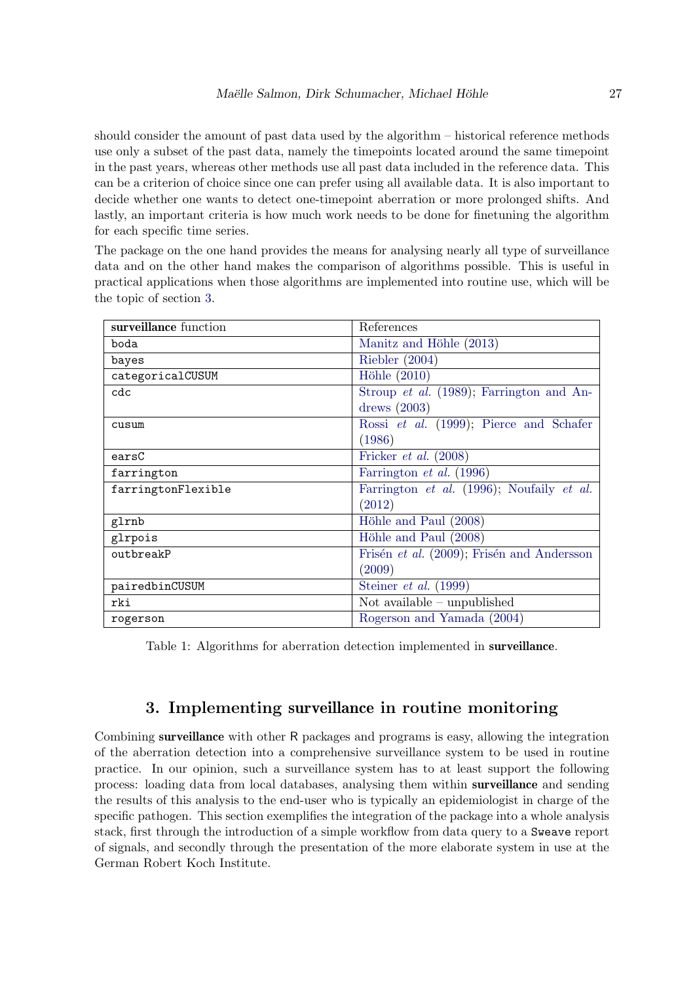should consider the amount of past data used by the algorithm – historical reference methods use only a subset of the past data, namely the timepoints located around the same timepoint in the past years, whereas other methods use all past data included in the reference data. This can be a criterion of choice since one can prefer using all available data. It is also important to decide whether one wants to detect one-timepoint aberration or more prolonged shifts. And lastly, an important criteria is how much work needs to be done for finetuning the algorithm for each specific time series.

The package on the one hand provides the means for analysing nearly all type of surveillance data and on the other hand makes the comparison of algorithms possible. This is useful in practical applications when those algorithms are implemented into routine use, which will be the topic of section [3.](#page-26-1)

<span id="page-26-0"></span>

| surveillance function | References                                 |
|-----------------------|--------------------------------------------|
| boda                  | Manitz and Höhle (2013)                    |
| bayes                 | Riebler $(2004)$                           |
| categoricalCUSUM      | Höhle $(2010)$                             |
| cdc                   | Stroup et al. (1989); Farrington and An-   |
|                       | drews $(2003)$                             |
| cusum                 | Rossi et al. (1999); Pierce and Schafer    |
|                       | (1986)                                     |
| earsC                 | Fricker <i>et al.</i> $(2008)$             |
| farrington            | Farrington <i>et al.</i> (1996)            |
| farringtonFlexible    | Farrington et al. (1996); Noufaily et al.  |
|                       | (2012)                                     |
| glrnb                 | Höhle and Paul (2008)                      |
| glrpois               | Höhle and Paul (2008)                      |
| outbreakP             | Frisén et al. (2009); Frisén and Andersson |
|                       | (2009)                                     |
| pairedbinCUSUM        | Steiner et al. $(1999)$                    |
| rki                   | Not available $-$ unpublished              |
| rogerson              | Rogerson and Yamada (2004)                 |

Table 1: Algorithms for aberration detection implemented in surveillance.

# 3. Implementing surveillance in routine monitoring

<span id="page-26-1"></span>Combining surveillance with other R packages and programs is easy, allowing the integration of the aberration detection into a comprehensive surveillance system to be used in routine practice. In our opinion, such a surveillance system has to at least support the following process: loading data from local databases, analysing them within surveillance and sending the results of this analysis to the end-user who is typically an epidemiologist in charge of the specific pathogen. This section exemplifies the integration of the package into a whole analysis stack, first through the introduction of a simple workflow from data query to a Sweave report of signals, and secondly through the presentation of the more elaborate system in use at the German Robert Koch Institute.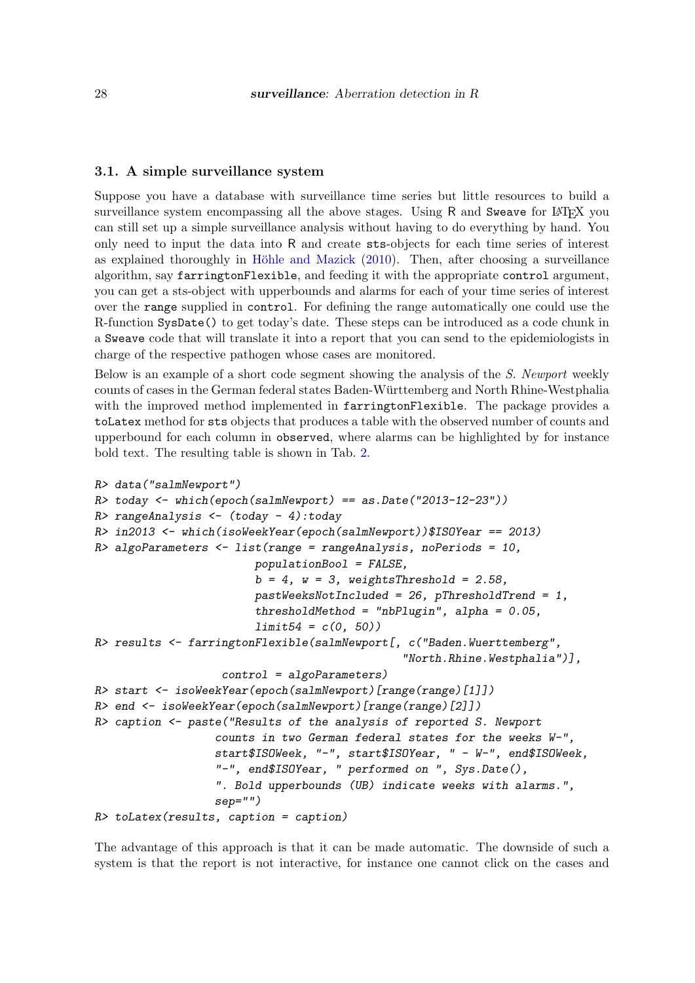### 3.1. A simple surveillance system

Suppose you have a database with surveillance time series but little resources to build a surveillance system encompassing all the above stages. Using R and Sweave for LATEX you can still set up a simple surveillance analysis without having to do everything by hand. You only need to input the data into R and create sts-objects for each time series of interest as explained thoroughly in Höhle and Mazick  $(2010)$ . Then, after choosing a surveillance algorithm, say farringtonFlexible, and feeding it with the appropriate control argument, you can get a sts-object with upperbounds and alarms for each of your time series of interest over the range supplied in control. For defining the range automatically one could use the R-function SysDate() to get today's date. These steps can be introduced as a code chunk in a Sweave code that will translate it into a report that you can send to the epidemiologists in charge of the respective pathogen whose cases are monitored.

Below is an example of a short code segment showing the analysis of the S. Newport weekly counts of cases in the German federal states Baden-Wurttemberg and North Rhine-Westphalia ¨ with the improved method implemented in farringtonFlexible. The package provides a toLatex method for sts objects that produces a table with the observed number of counts and upperbound for each column in observed, where alarms can be highlighted by for instance bold text. The resulting table is shown in Tab. [2.](#page-28-1)

```
R> data("salmNewport")
R> today <- which(epoch(salmNewport) == as.Date("2013-12-23"))
R> rangeAnalysis <- (today - 4):today
R> in2013 <- which(isoWeekYear(epoch(salmNewport))$ISOYear == 2013)
R> algoParameters <- list(range = rangeAnalysis, noPeriods = 10,
                        populationBool = FALSE,
                        b = 4, w = 3, weightsThreshold = 2.58,
                        pastWeeksNotIncluded = 26, pHresholdTrend = 1,thresholdMethod = "nbPlugin", alpha = 0.05,
                        limit54 = c(0, 50)R> results <- farringtonFlexible(salmNewport[, c("Baden.Wuerttemberg",
                                              "North.Rhine.Westphalia")],
                   control = algoParameters)
R> start <- isoWeekYear(epoch(salmNewport)[range(range)[1]])
R> end <- isoWeekYear(epoch(salmNewport)[range(range)[2]])
R> caption <- paste("Results of the analysis of reported S. Newport
                  counts in two German federal states for the weeks W-",
                  start$ISOWeek, "-", start$ISOYear, " - W-", end$ISOWeek,
                  "-", end$ISOYear, " performed on ", Sys.Date(),
                  ". Bold upperbounds (UB) indicate weeks with alarms.",
                  sep="")
R> toLatex(results, caption = caption)
```
The advantage of this approach is that it can be made automatic. The downside of such a system is that the report is not interactive, for instance one cannot click on the cases and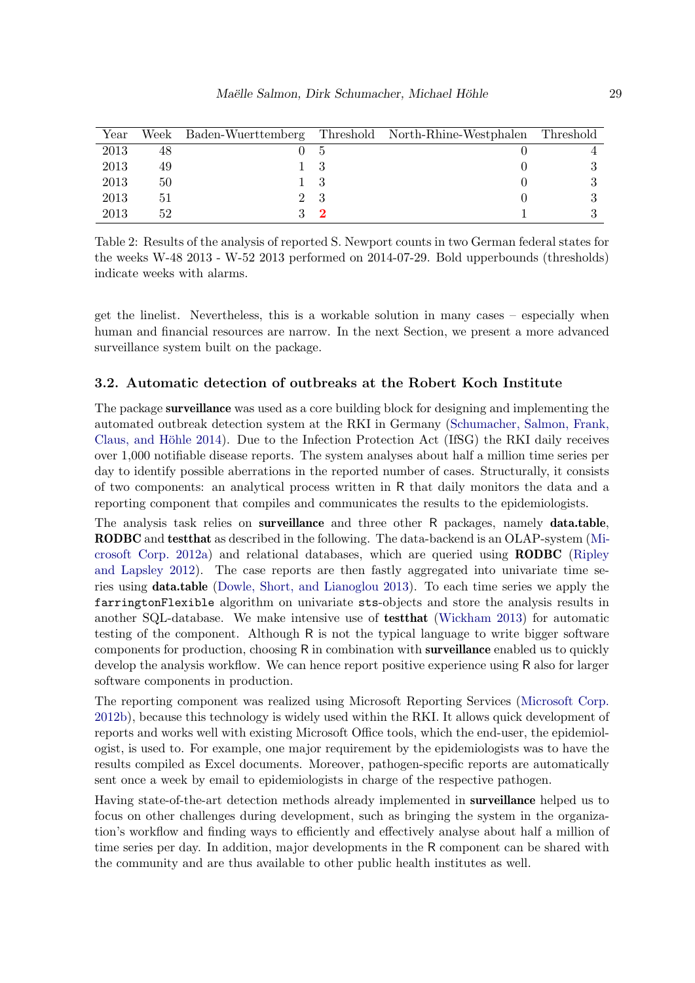<span id="page-28-1"></span>

| Year | Week |  | Baden-Wuerttemberg Threshold North-Rhine-Westphalen | Threshold |
|------|------|--|-----------------------------------------------------|-----------|
| 2013 | 48   |  |                                                     |           |
| 2013 | 49   |  |                                                     |           |
| 2013 | 50   |  |                                                     |           |
| 2013 | 51   |  |                                                     |           |
| 2013 | 52   |  |                                                     |           |

Table 2: Results of the analysis of reported S. Newport counts in two German federal states for the weeks W-48 2013 - W-52 2013 performed on 2014-07-29. Bold upperbounds (thresholds) indicate weeks with alarms.

get the linelist. Nevertheless, this is a workable solution in many cases – especially when human and financial resources are narrow. In the next Section, we present a more advanced surveillance system built on the package.

### <span id="page-28-0"></span>3.2. Automatic detection of outbreaks at the Robert Koch Institute

The package surveillance was used as a core building block for designing and implementing the automated outbreak detection system at the RKI in Germany [\(Schumacher, Salmon, Frank,](#page-33-9) Claus, and Höhle [2014\)](#page-33-9). Due to the Infection Protection Act (IfSG) the RKI daily receives over 1,000 notifiable disease reports. The system analyses about half a million time series per day to identify possible aberrations in the reported number of cases. Structurally, it consists of two components: an analytical process written in R that daily monitors the data and a reporting component that compiles and communicates the results to the epidemiologists.

The analysis task relies on **surveillance** and three other R packages, namely **data.table**, RODBC and testthat as described in the following. The data-backend is an OLAP-system [\(Mi](#page-32-12)[crosoft Corp.](#page-32-12) [2012a\)](#page-32-12) and relational databases, which are queried using RODBC [\(Ripley](#page-32-13) [and Lapsley](#page-32-13) [2012\)](#page-32-13). The case reports are then fastly aggregated into univariate time series using data.table [\(Dowle, Short, and Lianoglou](#page-30-8) [2013\)](#page-30-8). To each time series we apply the farringtonFlexible algorithm on univariate sts-objects and store the analysis results in another SQL-database. We make intensive use of testthat [\(Wickham](#page-33-10) [2013\)](#page-33-10) for automatic testing of the component. Although R is not the typical language to write bigger software components for production, choosing R in combination with surveillance enabled us to quickly develop the analysis workflow. We can hence report positive experience using R also for larger software components in production.

The reporting component was realized using Microsoft Reporting Services [\(Microsoft Corp.](#page-32-14) [2012b\)](#page-32-14), because this technology is widely used within the RKI. It allows quick development of reports and works well with existing Microsoft Office tools, which the end-user, the epidemiologist, is used to. For example, one major requirement by the epidemiologists was to have the results compiled as Excel documents. Moreover, pathogen-specific reports are automatically sent once a week by email to epidemiologists in charge of the respective pathogen.

Having state-of-the-art detection methods already implemented in surveillance helped us to focus on other challenges during development, such as bringing the system in the organization's workflow and finding ways to efficiently and effectively analyse about half a million of time series per day. In addition, major developments in the R component can be shared with the community and are thus available to other public health institutes as well.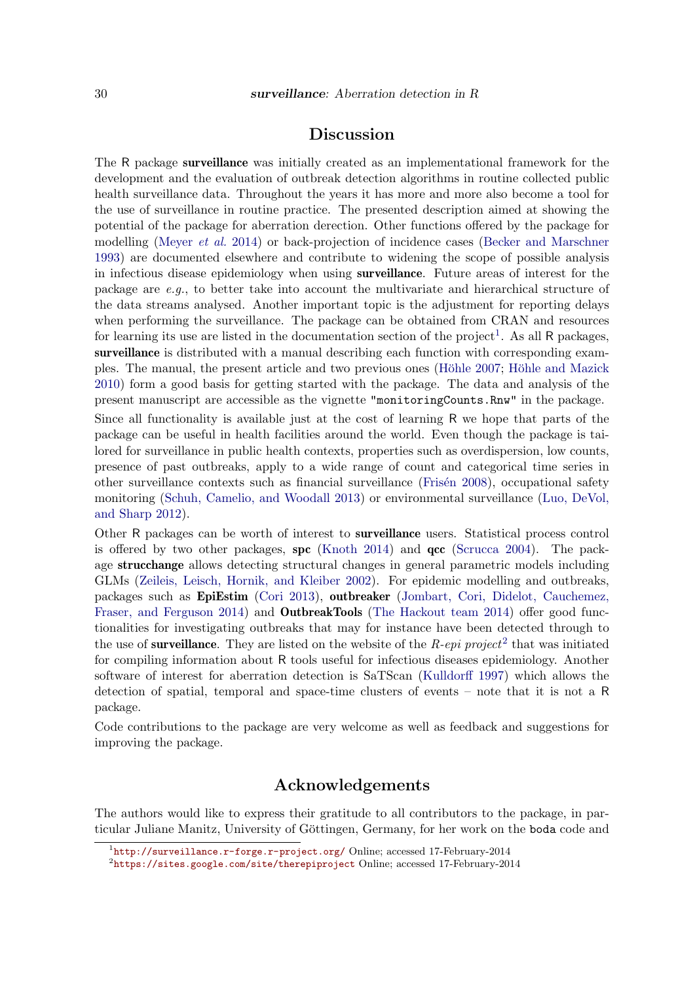# Discussion

The R package surveillance was initially created as an implementational framework for the development and the evaluation of outbreak detection algorithms in routine collected public health surveillance data. Throughout the years it has more and more also become a tool for the use of surveillance in routine practice. The presented description aimed at showing the potential of the package for aberration derection. Other functions offered by the package for modelling [\(Meyer](#page-32-1) et al. [2014\)](#page-32-1) or back-projection of incidence cases [\(Becker and Marschner](#page-30-9) [1993\)](#page-30-9) are documented elsewhere and contribute to widening the scope of possible analysis in infectious disease epidemiology when using surveillance. Future areas of interest for the package are e.g., to better take into account the multivariate and hierarchical structure of the data streams analysed. Another important topic is the adjustment for reporting delays when performing the surveillance. The package can be obtained from CRAN and resources for learning its use are listed in the documentation section of the project<sup>[1](#page-29-0)</sup>. As all  $R$  packages, surveillance is distributed with a manual describing each function with corresponding exam-ples. The manual, the present article and two previous ones (Höhle [2007;](#page-31-2) Höhle and Mazick [2010\)](#page-31-3) form a good basis for getting started with the package. The data and analysis of the present manuscript are accessible as the vignette "monitoringCounts.Rnw" in the package.

Since all functionality is available just at the cost of learning R we hope that parts of the package can be useful in health facilities around the world. Even though the package is tailored for surveillance in public health contexts, properties such as overdispersion, low counts, presence of past outbreaks, apply to a wide range of count and categorical time series in other surveillance contexts such as financial surveillance (Frisén [2008\)](#page-31-12), occupational safety monitoring [\(Schuh, Camelio, and Woodall](#page-33-11) [2013\)](#page-33-11) or environmental surveillance [\(Luo, DeVol,](#page-32-15) [and Sharp](#page-32-15) [2012\)](#page-32-15).

Other R packages can be worth of interest to surveillance users. Statistical process control is offered by two other packages, spc [\(Knoth](#page-31-13) [2014\)](#page-31-13) and  $\rm qcc$  [\(Scrucca](#page-33-12) [2004\)](#page-33-12). The package strucchange allows detecting structural changes in general parametric models including GLMs [\(Zeileis, Leisch, Hornik, and Kleiber](#page-33-13) [2002\)](#page-33-13). For epidemic modelling and outbreaks, packages such as EpiEstim [\(Cori](#page-30-10) [2013\)](#page-30-10), outbreaker [\(Jombart, Cori, Didelot, Cauchemez,](#page-31-14) [Fraser, and Ferguson](#page-31-14) [2014\)](#page-33-14) and **OutbreakTools** [\(The Hackout team](#page-33-14) 2014) offer good functionalities for investigating outbreaks that may for instance have been detected through to the use of **surveillance**. They are listed on the website of the  $R$ -epi project<sup>[2](#page-29-1)</sup> that was initiated for compiling information about R tools useful for infectious diseases epidemiology. Another software of interest for aberration detection is SaTScan [\(Kulldorff](#page-31-15) [1997\)](#page-31-15) which allows the detection of spatial, temporal and space-time clusters of events – note that it is not a R package.

Code contributions to the package are very welcome as well as feedback and suggestions for improving the package.

## Acknowledgements

The authors would like to express their gratitude to all contributors to the package, in particular Juliane Manitz, University of Göttingen, Germany, for her work on the boda code and

<span id="page-29-0"></span><sup>1</sup> <http://surveillance.r-forge.r-project.org/> Online; accessed 17-February-2014

<span id="page-29-1"></span> $^{2}$ <https://sites.google.com/site/therepiproject> Online; accessed 17-February-2014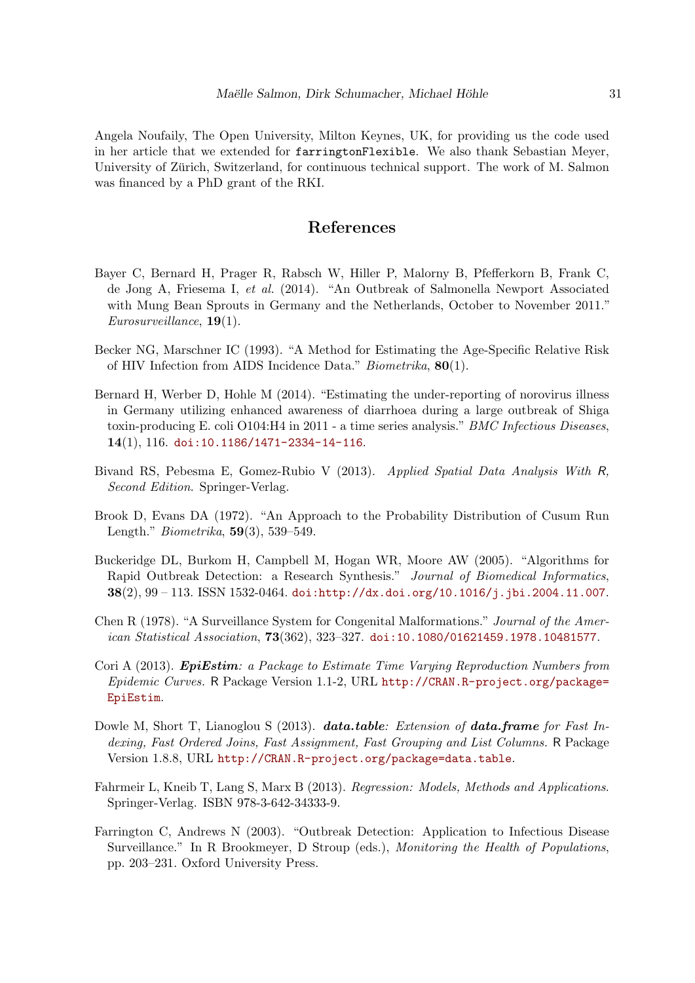Angela Noufaily, The Open University, Milton Keynes, UK, for providing us the code used in her article that we extended for farringtonFlexible. We also thank Sebastian Meyer, University of Zürich, Switzerland, for continuous technical support. The work of M. Salmon was financed by a PhD grant of the RKI.

# References

- <span id="page-30-2"></span>Bayer C, Bernard H, Prager R, Rabsch W, Hiller P, Malorny B, Pfefferkorn B, Frank C, de Jong A, Friesema I, et al. (2014). "An Outbreak of Salmonella Newport Associated with Mung Bean Sprouts in Germany and the Netherlands, October to November 2011." Eurosurveillance, 19(1).
- <span id="page-30-9"></span>Becker NG, Marschner IC (1993). "A Method for Estimating the Age-Specific Relative Risk of HIV Infection from AIDS Incidence Data." Biometrika, 80(1).
- <span id="page-30-3"></span>Bernard H, Werber D, Hohle M (2014). "Estimating the under-reporting of norovirus illness in Germany utilizing enhanced awareness of diarrhoea during a large outbreak of Shiga toxin-producing E. coli O104:H4 in 2011 - a time series analysis." BMC Infectious Diseases, 14(1), 116. [doi:10.1186/1471-2334-14-116](http://dx.doi.org/10.1186/1471-2334-14-116).
- <span id="page-30-1"></span>Bivand RS, Pebesma E, Gomez-Rubio V (2013). Applied Spatial Data Analysis With R, Second Edition. Springer-Verlag.
- <span id="page-30-6"></span>Brook D, Evans DA (1972). "An Approach to the Probability Distribution of Cusum Run Length." Biometrika, 59(3), 539–549.
- <span id="page-30-0"></span>Buckeridge DL, Burkom H, Campbell M, Hogan WR, Moore AW (2005). "Algorithms for Rapid Outbreak Detection: a Research Synthesis." Journal of Biomedical Informatics,  $38(2), 99 - 113$ . ISSN 1532-0464. [doi:http://dx.doi.org/10.1016/j.jbi.2004.11.007](http://dx.doi.org/http://dx.doi.org/10.1016/j.jbi.2004.11.007).
- <span id="page-30-4"></span>Chen R (1978). "A Surveillance System for Congenital Malformations." Journal of the American Statistical Association, 73(362), 323–327. [doi:10.1080/01621459.1978.10481577](http://dx.doi.org/10.1080/01621459.1978.10481577).
- <span id="page-30-10"></span>Cori A (2013). **EpiEstim**: a Package to Estimate Time Varying Reproduction Numbers from Epidemic Curves. R Package Version 1.1-2, URL [http://CRAN.R-project.org/package=](http://CRAN.R-project.org/package=EpiEstim) [EpiEstim](http://CRAN.R-project.org/package=EpiEstim).
- <span id="page-30-8"></span>Dowle M, Short T, Lianoglou S (2013). **data.table:** Extension of **data.frame** for Fast Indexing, Fast Ordered Joins, Fast Assignment, Fast Grouping and List Columns. R Package Version 1.8.8, URL <http://CRAN.R-project.org/package=data.table>.
- <span id="page-30-5"></span>Fahrmeir L, Kneib T, Lang S, Marx B (2013). Regression: Models, Methods and Applications. Springer-Verlag. ISBN 978-3-642-34333-9.
- <span id="page-30-7"></span>Farrington C, Andrews N (2003). "Outbreak Detection: Application to Infectious Disease Surveillance." In R Brookmeyer, D Stroup (eds.), Monitoring the Health of Populations, pp. 203–231. Oxford University Press.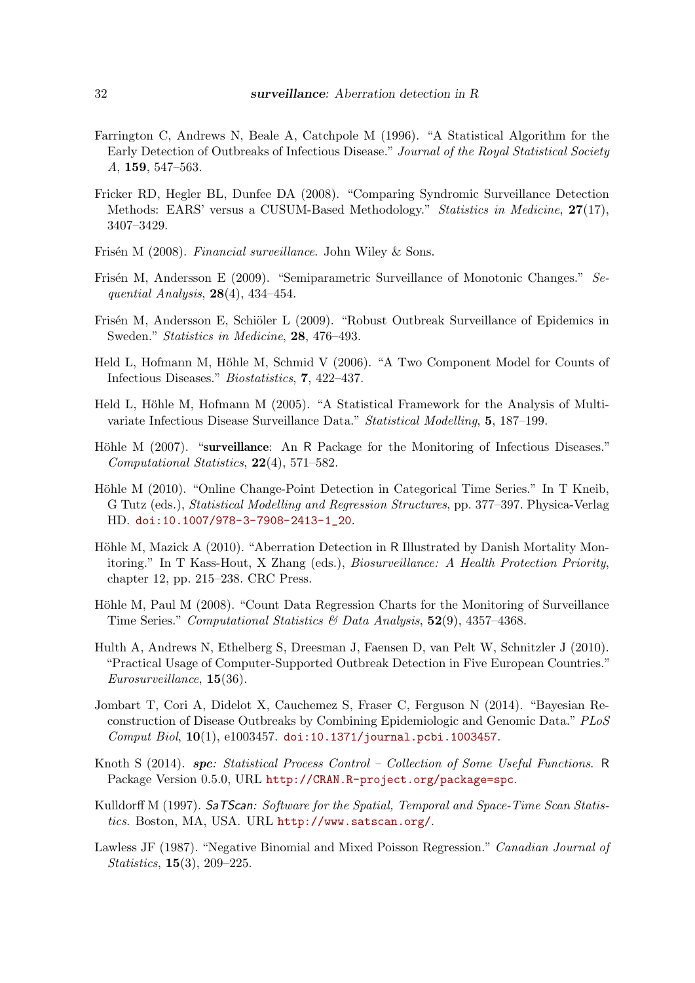- <span id="page-31-5"></span>Farrington C, Andrews N, Beale A, Catchpole M (1996). "A Statistical Algorithm for the Early Detection of Outbreaks of Infectious Disease." Journal of the Royal Statistical Society A, 159, 547–563.
- <span id="page-31-4"></span>Fricker RD, Hegler BL, Dunfee DA (2008). "Comparing Syndromic Surveillance Detection Methods: EARS' versus a CUSUM-Based Methodology." Statistics in Medicine, 27(17), 3407–3429.
- <span id="page-31-12"></span>Frisén M (2008). Financial surveillance. John Wiley & Sons.
- <span id="page-31-11"></span>Frisén M, Andersson E (2009). "Semiparametric Surveillance of Monotonic Changes." Sequential Analysis,  $28(4)$ ,  $434-454$ .
- <span id="page-31-10"></span>Frisén M, Andersson E, Schiöler L (2009). "Robust Outbreak Surveillance of Epidemics in Sweden." Statistics in Medicine, 28, 476–493.
- <span id="page-31-1"></span>Held L, Hofmann M, Höhle M, Schmid V (2006). "A Two Component Model for Counts of Infectious Diseases." Biostatistics, 7, 422–437.
- <span id="page-31-0"></span>Held L, Höhle M, Hofmann M (2005). "A Statistical Framework for the Analysis of Multivariate Infectious Disease Surveillance Data." Statistical Modelling, 5, 187–199.
- <span id="page-31-2"></span>Höhle M (2007). "surveillance: An R Package for the Monitoring of Infectious Diseases." Computational Statistics, 22(4), 571–582.
- <span id="page-31-7"></span>Höhle M (2010). "Online Change-Point Detection in Categorical Time Series." In T Kneib, G Tutz (eds.), Statistical Modelling and Regression Structures, pp. 377–397. Physica-Verlag HD. [doi:10.1007/978-3-7908-2413-1\\_20](http://dx.doi.org/10.1007/978-3-7908-2413-1_20).
- <span id="page-31-3"></span>Höhle M, Mazick A (2010). "Aberration Detection in R Illustrated by Danish Mortality Monitoring." In T Kass-Hout, X Zhang (eds.), Biosurveillance: A Health Protection Priority, chapter 12, pp. 215–238. CRC Press.
- <span id="page-31-6"></span>Höhle M, Paul M (2008). "Count Data Regression Charts for the Monitoring of Surveillance Time Series." Computational Statistics & Data Analysis, 52(9), 4357–4368.
- <span id="page-31-8"></span>Hulth A, Andrews N, Ethelberg S, Dreesman J, Faensen D, van Pelt W, Schnitzler J (2010). "Practical Usage of Computer-Supported Outbreak Detection in Five European Countries." Eurosurveillance, 15(36).
- <span id="page-31-14"></span>Jombart T, Cori A, Didelot X, Cauchemez S, Fraser C, Ferguson N (2014). "Bayesian Reconstruction of Disease Outbreaks by Combining Epidemiologic and Genomic Data." PLoS  $Comput~Biol, 10(1), e1003457.$  [doi:10.1371/journal.pcbi.1003457](http://dx.doi.org/10.1371/journal.pcbi.1003457).
- <span id="page-31-13"></span>Knoth S (2014). spc: Statistical Process Control – Collection of Some Useful Functions. R Package Version 0.5.0, URL <http://CRAN.R-project.org/package=spc>.
- <span id="page-31-15"></span>Kulldorff M (1997). SaTScan: Software for the Spatial, Temporal and Space-Time Scan Statistics. Boston, MA, USA. URL <http://www.satscan.org/>.
- <span id="page-31-9"></span>Lawless JF (1987). "Negative Binomial and Mixed Poisson Regression." Canadian Journal of Statistics, 15(3), 209–225.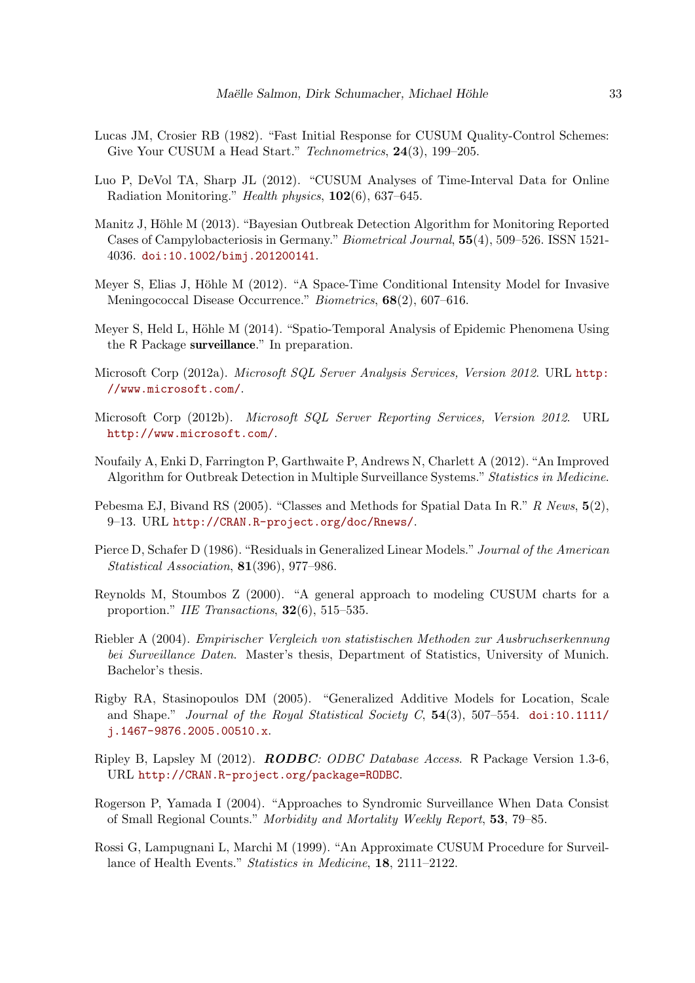- <span id="page-32-5"></span>Lucas JM, Crosier RB (1982). "Fast Initial Response for CUSUM Quality-Control Schemes: Give Your CUSUM a Head Start." Technometrics, 24(3), 199–205.
- <span id="page-32-15"></span>Luo P, DeVol TA, Sharp JL (2012). "CUSUM Analyses of Time-Interval Data for Online Radiation Monitoring." Health physics, 102(6), 637–645.
- <span id="page-32-4"></span>Manitz J, Höhle M (2013). "Bayesian Outbreak Detection Algorithm for Monitoring Reported Cases of Campylobacteriosis in Germany." Biometrical Journal, 55(4), 509–526. ISSN 1521- 4036. [doi:10.1002/bimj.201200141](http://dx.doi.org/10.1002/bimj.201200141).
- <span id="page-32-0"></span>Meyer S, Elias J, Höhle M (2012). "A Space-Time Conditional Intensity Model for Invasive Meningococcal Disease Occurrence." Biometrics, 68(2), 607–616.
- <span id="page-32-1"></span>Meyer S, Held L, Höhle M (2014). "Spatio-Temporal Analysis of Epidemic Phenomena Using the R Package surveillance." In preparation.
- <span id="page-32-12"></span>Microsoft Corp (2012a). Microsoft SQL Server Analysis Services, Version 2012. URL [http:](http://www.microsoft.com/) [//www.microsoft.com/](http://www.microsoft.com/).
- <span id="page-32-14"></span>Microsoft Corp (2012b). Microsoft SQL Server Reporting Services, Version 2012. URL <http://www.microsoft.com/>.
- <span id="page-32-3"></span>Noufaily A, Enki D, Farrington P, Garthwaite P, Andrews N, Charlett A (2012). "An Improved Algorithm for Outbreak Detection in Multiple Surveillance Systems." Statistics in Medicine.
- <span id="page-32-2"></span>Pebesma EJ, Bivand RS (2005). "Classes and Methods for Spatial Data In R." R News,  $5(2)$ , 9–13. URL <http://CRAN.R-project.org/doc/Rnews/>.
- <span id="page-32-11"></span>Pierce D, Schafer D (1986). "Residuals in Generalized Linear Models." Journal of the American Statistical Association, 81(396), 977–986.
- <span id="page-32-6"></span>Reynolds M, Stoumbos Z (2000). "A general approach to modeling CUSUM charts for a proportion." IIE Transactions, 32(6), 515–535.
- <span id="page-32-9"></span>Riebler A (2004). Empirischer Vergleich von statistischen Methoden zur Ausbruchserkennung bei Surveillance Daten. Master's thesis, Department of Statistics, University of Munich. Bachelor's thesis.
- <span id="page-32-8"></span>Rigby RA, Stasinopoulos DM (2005). "Generalized Additive Models for Location, Scale and Shape." Journal of the Royal Statistical Society C,  $54(3)$ ,  $507-554$ . [doi:10.1111/](http://dx.doi.org/10.1111/j.1467-9876.2005.00510.x) [j.1467-9876.2005.00510.x](http://dx.doi.org/10.1111/j.1467-9876.2005.00510.x).
- <span id="page-32-13"></span>Ripley B, Lapsley M (2012). RODBC: ODBC Database Access. R Package Version 1.3-6, URL <http://CRAN.R-project.org/package=RODBC>.
- <span id="page-32-7"></span>Rogerson P, Yamada I (2004). "Approaches to Syndromic Surveillance When Data Consist of Small Regional Counts." Morbidity and Mortality Weekly Report, 53, 79–85.
- <span id="page-32-10"></span>Rossi G, Lampugnani L, Marchi M (1999). "An Approximate CUSUM Procedure for Surveillance of Health Events." Statistics in Medicine, 18, 2111–2122.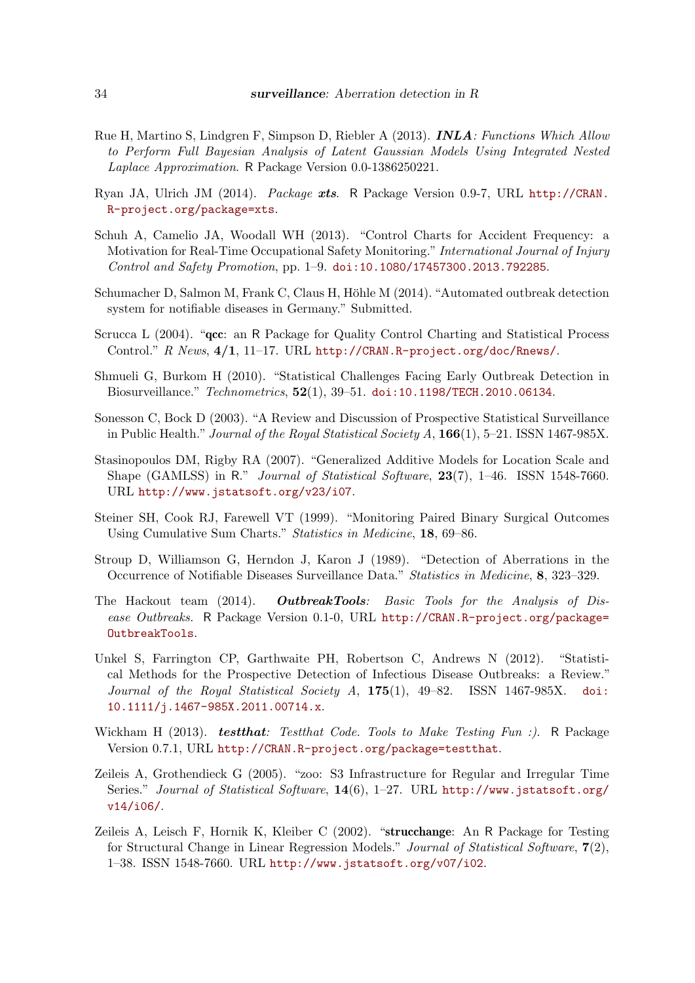- <span id="page-33-5"></span>Rue H, Martino S, Lindgren F, Simpson D, Riebler A (2013). INLA: Functions Which Allow to Perform Full Bayesian Analysis of Latent Gaussian Models Using Integrated Nested Laplace Approximation. R Package Version 0.0-1386250221.
- <span id="page-33-2"></span>Ryan JA, Ulrich JM (2014). Package xts. R Package Version 0.9-7, URL [http://CRAN.](http://CRAN.R-project.org/package=xts) [R-project.org/package=xts](http://CRAN.R-project.org/package=xts).
- <span id="page-33-11"></span>Schuh A, Camelio JA, Woodall WH (2013). "Control Charts for Accident Frequency: a Motivation for Real-Time Occupational Safety Monitoring." International Journal of Injury Control and Safety Promotion, pp. 1–9. [doi:10.1080/17457300.2013.792285](http://dx.doi.org/10.1080/17457300.2013.792285).
- <span id="page-33-9"></span>Schumacher D, Salmon M, Frank C, Claus H, Höhle M (2014). "Automated outbreak detection system for notifiable diseases in Germany." Submitted.
- <span id="page-33-12"></span>Scrucca L (2004). "qcc: an R Package for Quality Control Charting and Statistical Process Control." R News, 4/1, 11–17. URL <http://CRAN.R-project.org/doc/Rnews/>.
- <span id="page-33-4"></span>Shmueli G, Burkom H (2010). "Statistical Challenges Facing Early Outbreak Detection in Biosurveillance." Technometrics, 52(1), 39–51. [doi:10.1198/TECH.2010.06134](http://dx.doi.org/10.1198/TECH.2010.06134).
- <span id="page-33-3"></span>Sonesson C, Bock D (2003). "A Review and Discussion of Prospective Statistical Surveillance in Public Health." Journal of the Royal Statistical Society  $A$ ,  $166(1)$ , 5–21. ISSN 1467-985X.
- <span id="page-33-6"></span>Stasinopoulos DM, Rigby RA (2007). "Generalized Additive Models for Location Scale and Shape (GAMLSS) in R." Journal of Statistical Software, 23(7), 1–46. ISSN 1548-7660. URL <http://www.jstatsoft.org/v23/i07>.
- <span id="page-33-7"></span>Steiner SH, Cook RJ, Farewell VT (1999). "Monitoring Paired Binary Surgical Outcomes Using Cumulative Sum Charts." Statistics in Medicine, 18, 69–86.
- <span id="page-33-8"></span>Stroup D, Williamson G, Herndon J, Karon J (1989). "Detection of Aberrations in the Occurrence of Notifiable Diseases Surveillance Data." Statistics in Medicine, 8, 323–329.
- <span id="page-33-14"></span>The Hackout team (2014). **OutbreakTools**: Basic Tools for the Analysis of Disease Outbreaks. R Package Version 0.1-0, URL [http://CRAN.R-project.org/package=](http://CRAN.R-project.org/package=OutbreakTools) [OutbreakTools](http://CRAN.R-project.org/package=OutbreakTools).
- <span id="page-33-0"></span>Unkel S, Farrington CP, Garthwaite PH, Robertson C, Andrews N (2012). "Statistical Methods for the Prospective Detection of Infectious Disease Outbreaks: a Review." Journal of the Royal Statistical Society A,  $175(1)$ ,  $49-82$ . ISSN 1467-985X. [doi:](http://dx.doi.org/10.1111/j.1467-985X.2011.00714.x) [10.1111/j.1467-985X.2011.00714.x](http://dx.doi.org/10.1111/j.1467-985X.2011.00714.x).
- <span id="page-33-10"></span>Wickham H (2013). test that: Test that Code. Tools to Make Testing Fun :). R Package Version 0.7.1, URL <http://CRAN.R-project.org/package=testthat>.
- <span id="page-33-1"></span>Zeileis A, Grothendieck G (2005). "zoo: S3 Infrastructure for Regular and Irregular Time Series." Journal of Statistical Software, 14(6), 1–27. URL [http://www.jstatsoft.org/](http://www.jstatsoft.org/v14/i06/) [v14/i06/](http://www.jstatsoft.org/v14/i06/).
- <span id="page-33-13"></span>Zeileis A, Leisch F, Hornik K, Kleiber C (2002). "strucchange: An R Package for Testing for Structural Change in Linear Regression Models." Journal of Statistical Software, 7(2), 1–38. ISSN 1548-7660. URL <http://www.jstatsoft.org/v07/i02>.